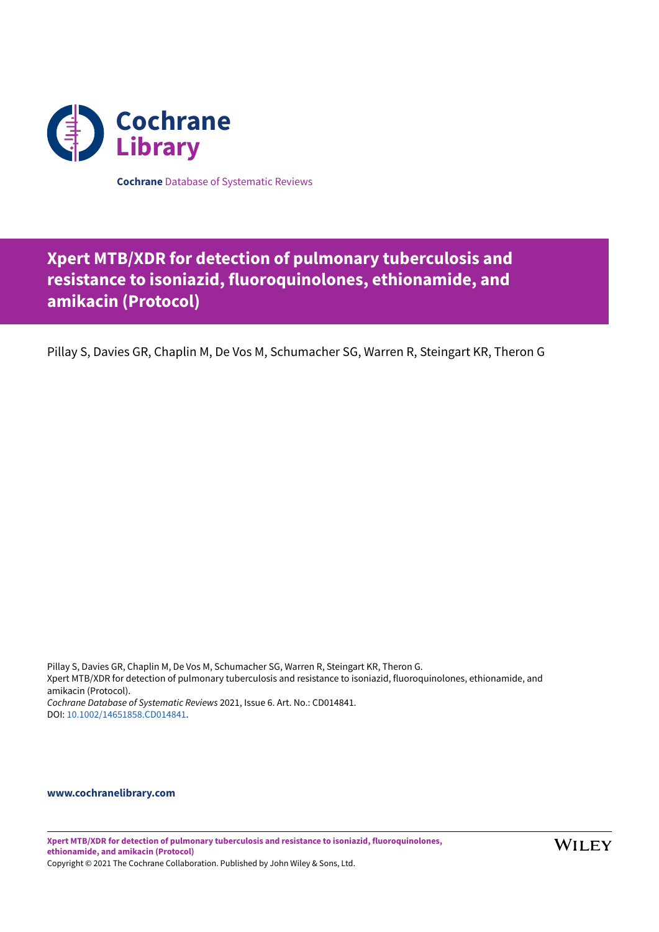

**Cochrane** Database of Systematic Reviews

# **Xpert MTB/XDR for detection of pulmonary tuberculosis and resistance to isoniazid, fluoroquinolones, ethionamide, and amikacin (Protocol)**

Pillay S, Davies GR, Chaplin M, De Vos M, Schumacher SG, Warren R, Steingart KR, Theron G

Pillay S, Davies GR, Chaplin M, De Vos M, Schumacher SG, Warren R, Steingart KR, Theron G. Xpert MTB/XDR for detection of pulmonary tuberculosis and resistance to isoniazid, fluoroquinolones, ethionamide, and amikacin (Protocol). *Cochrane Database of Systematic Reviews* 2021, Issue 6. Art. No.: CD014841. DOI: [10.1002/14651858.CD014841](https://doi.org/10.1002%2F14651858.CD014841).

### **[www.cochranelibrary.com](https://www.cochranelibrary.com)**

**Xpert MTB/XDR for detection of pulmonary tuberculosis and resistance to isoniazid, fluoroquinolones, ethionamide, and amikacin (Protocol)** Copyright © 2021 The Cochrane Collaboration. Published by John Wiley & Sons, Ltd.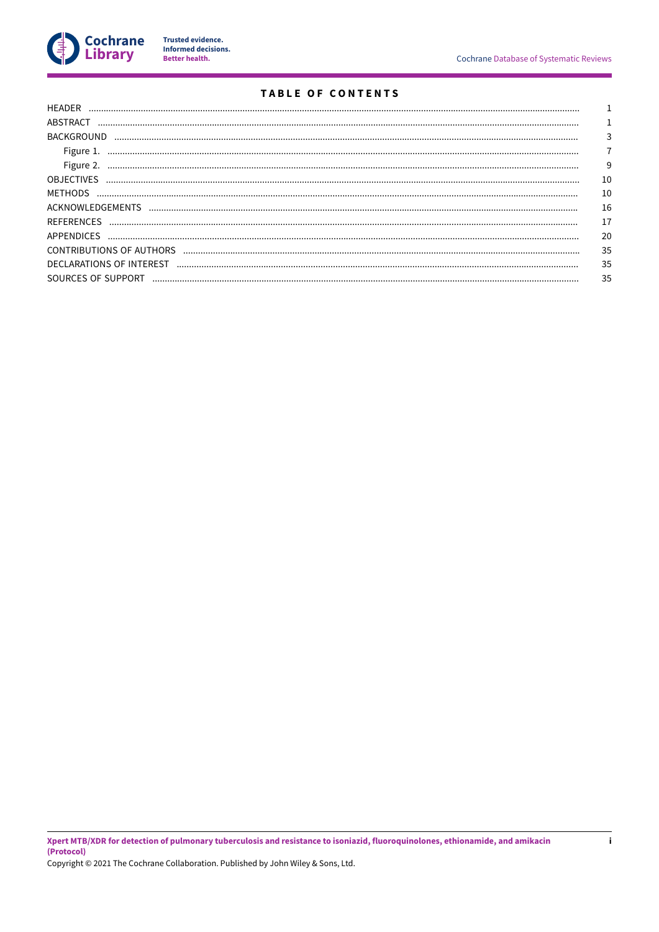

Trusted evidence.<br>Informed decisions.<br>Better health.

# TABLE OF CONTENTS

| Figure 1.          |    |
|--------------------|----|
|                    | 9  |
| <b>OBJECTIVES</b>  | 10 |
|                    | 10 |
|                    | 16 |
|                    | 17 |
|                    | 20 |
|                    | 35 |
|                    | 35 |
| SOURCES OF SUPPORT | 35 |
|                    |    |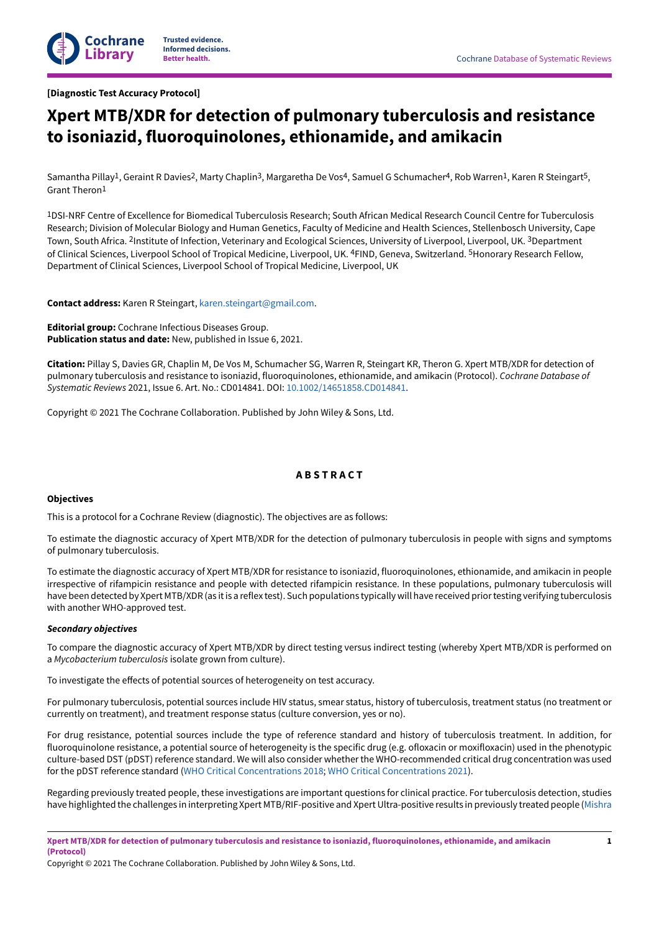

# <span id="page-2-0"></span>**Xpert MTB/XDR for detection of pulmonary tuberculosis and resistance to isoniazid, fluoroquinolones, ethionamide, and amikacin**

Samantha Pillay<sup>1</sup>, Geraint R Davies<sup>2</sup>, Marty Chaplin<sup>3</sup>, Margaretha De Vos<sup>4</sup>, Samuel G Schumacher<sup>4</sup>, Rob Warren<sup>1</sup>, Karen R Steingart<sup>5</sup>, Grant Theron1

1DSI-NRF Centre of Excellence for Biomedical Tuberculosis Research; South African Medical Research Council Centre for Tuberculosis Research; Division of Molecular Biology and Human Genetics, Faculty of Medicine and Health Sciences, Stellenbosch University, Cape Town, South Africa. <sup>2</sup>Institute of Infection, Veterinary and Ecological Sciences, University of Liverpool, Liverpool, UK. <sup>3</sup>Department of Clinical Sciences, Liverpool School of Tropical Medicine, Liverpool, UK. 4FIND, Geneva, Switzerland. 5Honorary Research Fellow, Department of Clinical Sciences, Liverpool School of Tropical Medicine, Liverpool, UK

**Contact address:** Karen R Steingart, [karen.steingart@gmail.com.](mailto:karen.steingart@gmail.com)

**Editorial group:** Cochrane Infectious Diseases Group. **Publication status and date:** New, published in Issue 6, 2021.

**Citation:** Pillay S, Davies GR, Chaplin M, De Vos M, Schumacher SG, Warren R, Steingart KR, Theron G. Xpert MTB/XDR for detection of pulmonary tuberculosis and resistance to isoniazid, fluoroquinolones, ethionamide, and amikacin (Protocol). *Cochrane Database of Systematic Reviews* 2021, Issue 6. Art. No.: CD014841. DOI: [10.1002/14651858.CD014841.](https://doi.org/10.1002%2F14651858.CD014841)

Copyright © 2021 The Cochrane Collaboration. Published by John Wiley & Sons, Ltd.

### **A B S T R A C T**

### <span id="page-2-1"></span>**Objectives**

This is a protocol for a Cochrane Review (diagnostic). The objectives are as follows:

To estimate the diagnostic accuracy of Xpert MTB/XDR for the detection of pulmonary tuberculosis in people with signs and symptoms of pulmonary tuberculosis.

To estimate the diagnostic accuracy of Xpert MTB/XDR for resistance to isoniazid, fluoroquinolones, ethionamide, and amikacin in people irrespective of rifampicin resistance and people with detected rifampicin resistance. In these populations, pulmonary tuberculosis will have been detected by Xpert MTB/XDR (as it is a reflex test). Such populations typically will have received prior testing verifying tuberculosis with another WHO-approved test.

### *Secondary objectives*

To compare the diagnostic accuracy of Xpert MTB/XDR by direct testing versus indirect testing (whereby Xpert MTB/XDR is performed on a *Mycobacterium tuberculosis* isolate grown from culture).

To investigate the effects of potential sources of heterogeneity on test accuracy.

For pulmonary tuberculosis, potential sources include HIV status, smear status, history of tuberculosis, treatment status (no treatment or currently on treatment), and treatment response status (culture conversion, yes or no).

For drug resistance, potential sources include the type of reference standard and history of tuberculosis treatment. In addition, for fluoroquinolone resistance, a potential source of heterogeneity is the specific drug (e.g. ofloxacin or moxifloxacin) used in the phenotypic culture-based DST (pDST) reference standard. We will also consider whether the WHO-recommended critical drug concentration was used for the pDST reference standard (WHO Critical [Concentrations](#page-20-0) 2018; WHO Critical [Concentrations](#page-20-1) 2021).

Regarding previously treated people, these investigations are important questions for clinical practice. For tuberculosis detection, studies have highlighted the challenges in interpreting Xpert MTB/RIF-positive and XpertUltra-positive results in previously treated people ([Mishra](#page-19-0)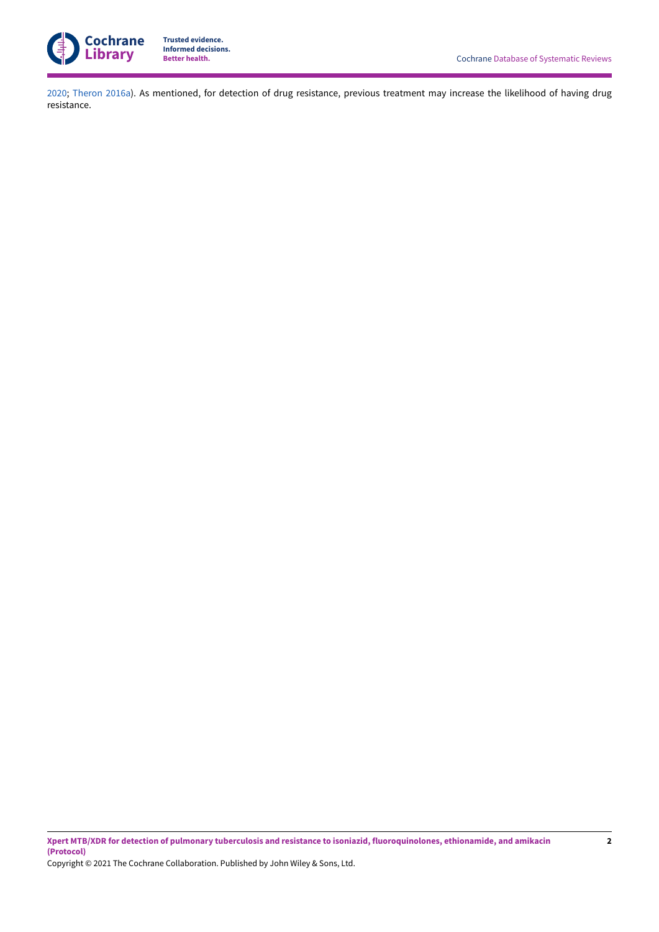

[2020](#page-19-0); [Theron](#page-20-2) 2016a). As mentioned, for detection of drug resistance, previous treatment may increase the likelihood of having drug resistance.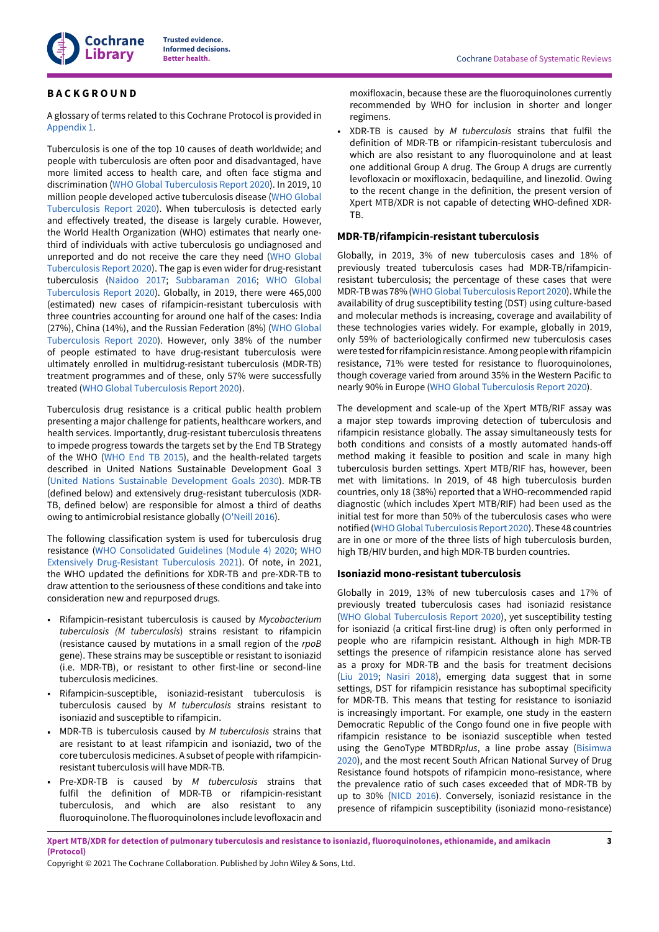

### <span id="page-4-0"></span>**B A C K G R O U N D**

A glossary of terms related to this Cochrane Protocol is provided in [Appendix 1](#page-21-1).

Tuberculosis is one of the top 10 causes of death worldwide; and people with tuberculosis are often poor and disadvantaged, have more limited access to health care, and often face stigma and discrimination (WHO Global [Tuberculosis](#page-21-2) Report 2020). In 2019, 10 million people developed active tuberculosis disease (WHO [Global](#page-21-2) [Tuberculosis](#page-21-2) Report 2020). When tuberculosis is detected early and effectively treated, the disease is largely curable. However, the World Health Organization (WHO) estimates that nearly onethird of individuals with active tuberculosis go undiagnosed and unreported and do not receive the care they need (WHO [Global](#page-21-2) [Tuberculosis](#page-21-2) Report 2020). The gap is even wider for drug-resistant tuberculosis [\(Naidoo 2017](#page-19-1); [Subbaraman](#page-20-3) 2016; WHO [Global](#page-21-2) [Tuberculosis](#page-21-2) Report 2020). Globally, in 2019, there were 465,000 (estimated) new cases of rifampicin-resistant tuberculosis with three countries accounting for around one half of the cases: India (27%), China (14%), and the Russian Federation (8%) (WHO [Global](#page-21-2) [Tuberculosis](#page-21-2) Report 2020). However, only 38% of the number of people estimated to have drug-resistant tuberculosis were ultimately enrolled in multidrug-resistant tuberculosis (MDR-TB) treatment programmes and of these, only 57% were successfully treated (WHO Global [Tuberculosis](#page-21-2) Report 2020).

Tuberculosis drug resistance is a critical public health problem presenting a major challenge for patients, healthcare workers, and health services. Importantly, drug-resistant tuberculosis threatens to impede progress towards the targets set by the End TB Strategy of the WHO [\(WHO End TB 2015\)](#page-21-3), and the health-related targets described in United Nations Sustainable Development Goal 3 (United Nations Sustainable [Development](#page-20-4) Goals 2030). MDR-TB (defined below) and extensively drug-resistant tuberculosis (XDR-TB, defined below) are responsible for almost a third of deaths owing to antimicrobial resistance globally [\(O'Neill 2016](#page-19-2)).

The following classification system is used for tuberculosis drug resistance (WHO [Consolidated](#page-20-5) Guidelines (Module 4) 2020; [WHO](#page-21-4) Extensively [Drug-Resistant](#page-21-4) Tuberculosis 2021). Of note, in 2021, the WHO updated the definitions for XDR-TB and pre-XDR-TB to draw attention to the seriousness of these conditions and take into consideration new and repurposed drugs.

- Rifampicin-resistant tuberculosis is caused by *Mycobacterium tuberculosis (M tuberculosis*) strains resistant to rifampicin (resistance caused by mutations in a small region of the *rpoB* gene). These strains may be susceptible or resistant to isoniazid (i.e. MDR-TB), or resistant to other first-line or second-line tuberculosis medicines.
- Rifampicin-susceptible, isoniazid-resistant tuberculosis is tuberculosis caused by *M tuberculosis* strains resistant to isoniazid and susceptible to rifampicin.
- MDR-TB is tuberculosis caused by *M tuberculosis* strains that are resistant to at least rifampicin and isoniazid, two of the core tuberculosis medicines. A subset of people with rifampicinresistant tuberculosis will have MDR-TB.
- Pre-XDR-TB is caused by *M tuberculosis* strains that fulfil the definition of MDR-TB or rifampicin-resistant tuberculosis, and which are also resistant to any fluoroquinolone. The fluoroquinolones include levofloxacin and

moxifloxacin, because these are the fluoroquinolones currently recommended by WHO for inclusion in shorter and longer regimens.

• XDR-TB is caused by *M tuberculosis* strains that fulfil the definition of MDR-TB or rifampicin-resistant tuberculosis and which are also resistant to any fluoroquinolone and at least one additional Group A drug. The Group A drugs are currently levofloxacin or moxifloxacin, bedaquiline, and linezolid. Owing to the recent change in the definition, the present version of Xpert MTB/XDR is not capable of detecting WHO-defined XDR-TB.

### **MDR-TB/rifampicin-resistant tuberculosis**

Globally, in 2019, 3% of new tuberculosis cases and 18% of previously treated tuberculosis cases had MDR-TB/rifampicinresistant tuberculosis; the percentage of these cases that were MDR-TB was 78% (WHOGlobal [Tuberculosis](#page-21-2) Report 2020). While the availability of drug susceptibility testing (DST) using culture-based and molecular methods is increasing, coverage and availability of these technologies varies widely. For example, globally in 2019, only 59% of bacteriologically confirmed new tuberculosis cases were tested for rifampicin resistance. Among people with rifampicin resistance, 71% were tested for resistance to fluoroquinolones, though coverage varied from around 35% in the Western Pacific to nearly 90% in Europe (WHO Global [Tuberculosis](#page-21-2) Report 2020).

The development and scale-up of the Xpert MTB/RIF assay was a major step towards improving detection of tuberculosis and rifampicin resistance globally. The assay simultaneously tests for both conditions and consists of a mostly automated hands-off method making it feasible to position and scale in many high tuberculosis burden settings. Xpert MTB/RIF has, however, been met with limitations. In 2019, of 48 high tuberculosis burden countries, only 18 (38%) reported that a WHO-recommended rapid diagnostic (which includes Xpert MTB/RIF) had been used as the initial test for more than 50% of the tuberculosis cases who were notified (WHO Global Tuberculosis Report 2020). These 48 countries are in one or more of the three lists of high tuberculosis burden, high TB/HIV burden, and high MDR-TB burden countries.

### **Isoniazid mono-resistant tuberculosis**

Globally in 2019, 13% of new tuberculosis cases and 17% of previously treated tuberculosis cases had isoniazid resistance (WHO Global [Tuberculosis](#page-21-2) Report 2020), yet susceptibility testing for isoniazid (a critical first-line drug) is often only performed in people who are rifampicin resistant. Although in high MDR-TB settings the presence of rifampicin resistance alone has served as a proxy for MDR-TB and the basis for treatment decisions [\(Liu 2019;](#page-18-1) [Nasiri 2018\)](#page-19-3), emerging data suggest that in some settings, DST for rifampicin resistance has suboptimal specificity for MDR-TB. This means that testing for resistance to isoniazid is increasingly important. For example, one study in the eastern Democratic Republic of the Congo found one in five people with rifampicin resistance to be isoniazid susceptible when tested using the GenoType MTBDR*plus*, a line probe assay ([Bisimwa](#page-18-2) [2020\)](#page-18-2), and the most recent South African National Survey of Drug Resistance found hotspots of rifampicin mono-resistance, where the prevalence ratio of such cases exceeded that of MDR-TB by up to 30% [\(NICD 2016\)](#page-19-4). Conversely, isoniazid resistance in the presence of rifampicin susceptibility (isoniazid mono-resistance)

Xpert MTB/XDR for detection of pulmonary tuberculosis and resistance to isoniazid, fluoroquinolones, ethionamide, and amikacin **(Protocol)**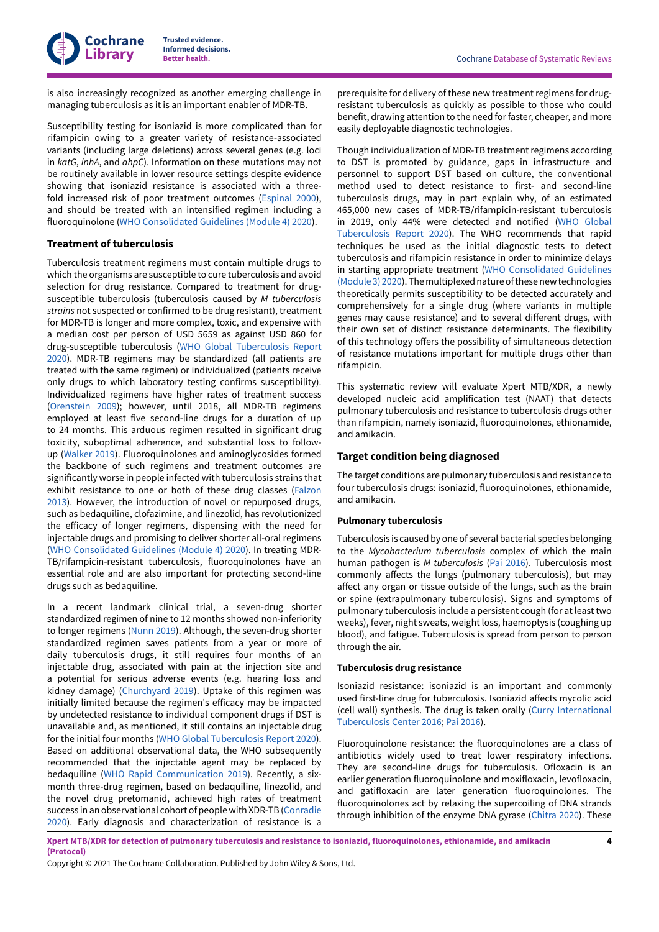

is also increasingly recognized as another emerging challenge in managing tuberculosis as it is an important enabler of MDR-TB.

Susceptibility testing for isoniazid is more complicated than for rifampicin owing to a greater variety of resistance-associated variants (including large deletions) across several genes (e.g. loci in *katG*, *inhA*, and *ahpC*). Information on these mutations may not be routinely available in lower resource settings despite evidence showing that isoniazid resistance is associated with a threefold increased risk of poor treatment outcomes [\(Espinal 2000\)](#page-18-3), and should be treated with an intensified regimen including a fluoroquinolone (WHO [Consolidated](#page-20-5) Guidelines (Module 4) 2020).

### **Treatment of tuberculosis**

Tuberculosis treatment regimens must contain multiple drugs to which the organisms are susceptible to cure tuberculosis and avoid selection for drug resistance. Compared to treatment for drugsusceptible tuberculosis (tuberculosis caused by *M tuberculosis strains* not suspected or confirmed to be drug resistant), treatment for MDR-TB is longer and more complex, toxic, and expensive with a median cost per person of USD 5659 as against USD 860 for drug-susceptible tuberculosis (WHO Global [Tuberculosis](#page-21-2) Report [2020](#page-21-2)). MDR-TB regimens may be standardized (all patients are treated with the same regimen) or individualized (patients receive only drugs to which laboratory testing confirms susceptibility). Individualized regimens have higher rates of treatment success [\(Orenstein](#page-19-5) 2009); however, until 2018, all MDR-TB regimens employed at least five second-line drugs for a duration of up to 24 months. This arduous regimen resulted in significant drug toxicity, suboptimal adherence, and substantial loss to followup ([Walker](#page-20-6) 2019). Fluoroquinolones and aminoglycosides formed the backbone of such regimens and treatment outcomes are significantly worse in people infected with tuberculosis strains that exhibit resistance to one or both of these drug classes [\(Falzon](#page-18-4) [2013](#page-18-4)). However, the introduction of novel or repurposed drugs, such as bedaquiline, clofazimine, and linezolid, has revolutionized the efficacy of longer regimens, dispensing with the need for injectable drugs and promising to deliver shorter all-oral regimens (WHO [Consolidated](#page-20-5) Guidelines (Module 4) 2020). In treating MDR-TB/rifampicin-resistant tuberculosis, fluoroquinolones have an essential role and are also important for protecting second-line drugs such as bedaquiline.

In a recent landmark clinical trial, a seven-drug shorter standardized regimen of nine to 12 months showed non-inferiority to longer regimens [\(Nunn 2019\)](#page-19-6). Although, the seven-drug shorter standardized regimen saves patients from a year or more of daily tuberculosis drugs, it still requires four months of an injectable drug, associated with pain at the injection site and a potential for serious adverse events (e.g. hearing loss and kidney damage) [\(Churchyard](#page-18-5) 2019). Uptake of this regimen was initially limited because the regimen's efficacy may be impacted by undetected resistance to individual component drugs if DST is unavailable and, as mentioned, it still contains an injectable drug for the initial four months (WHO Global [Tuberculosis](#page-21-2) Report 2020). Based on additional observational data, the WHO subsequently recommended that the injectable agent may be replaced by bedaquiline (WHO Rapid [Communication](#page-21-5) 2019). Recently, a sixmonth three-drug regimen, based on bedaquiline, linezolid, and the novel drug pretomanid, achieved high rates of treatment success in an observational cohort of peoplewith XDR-TB[\(Conradie](#page-18-6) [2020](#page-18-6)). Early diagnosis and characterization of resistance is a

prerequisite for delivery of these new treatment regimens for drugresistant tuberculosis as quickly as possible to those who could benefit, drawing attention to the need for faster, cheaper, and more easily deployable diagnostic technologies.

Though individualization of MDR-TB treatment regimens according to DST is promoted by guidance, gaps in infrastructure and personnel to support DST based on culture, the conventional method used to detect resistance to first- and second-line tuberculosis drugs, may in part explain why, of an estimated 465,000 new cases of MDR-TB/rifampicin-resistant tuberculosis in 2019, only 44% were detected and notified (WHO [Global](#page-21-2) [Tuberculosis](#page-21-2) Report 2020). The WHO recommends that rapid techniques be used as the initial diagnostic tests to detect tuberculosis and rifampicin resistance in order to minimize delays in starting appropriate treatment (WHO [Consolidated](#page-20-7) Guidelines [\(Module 3\) 2020](#page-20-7)). The multiplexed nature of these new technologies theoretically permits susceptibility to be detected accurately and comprehensively for a single drug (where variants in multiple genes may cause resistance) and to several different drugs, with their own set of distinct resistance determinants. The flexibility of this technology offers the possibility of simultaneous detection of resistance mutations important for multiple drugs other than rifampicin.

This systematic review will evaluate Xpert MTB/XDR, a newly developed nucleic acid amplification test (NAAT) that detects pulmonary tuberculosis and resistance to tuberculosis drugs other than rifampicin, namely isoniazid, fluoroquinolones, ethionamide, and amikacin.

### **Target condition being diagnosed**

The target conditions are pulmonary tuberculosis and resistance to four tuberculosis drugs: isoniazid, fluoroquinolones, ethionamide, and amikacin.

### **Pulmonary tuberculosis**

Tuberculosis is caused by one of several bacterial species belonging to the *Mycobacterium tuberculosis* complex of which the main human pathogen is *M tuberculosis* (Pai [2016\)](#page-19-7). Tuberculosis most commonly affects the lungs (pulmonary tuberculosis), but may affect any organ or tissue outside of the lungs, such as the brain or spine (extrapulmonary tuberculosis). Signs and symptoms of pulmonary tuberculosis include a persistent cough (for at least two weeks), fever, night sweats, weight loss, haemoptysis (coughing up blood), and fatigue. Tuberculosis is spread from person to person through the air.

#### **Tuberculosis drug resistance**

Isoniazid resistance: isoniazid is an important and commonly used first-line drug for tuberculosis. Isoniazid affects mycolic acid (cell wall) synthesis. The drug is taken orally (Curry [International](#page-18-7) [Tuberculosis](#page-18-7) Center 2016; Pai [2016](#page-19-7)).

Fluoroquinolone resistance: the fluoroquinolones are a class of antibiotics widely used to treat lower respiratory infections. They are second-line drugs for tuberculosis. Ofloxacin is an earlier generation fluoroquinolone and moxifloxacin, levofloxacin, and gatifloxacin are later generation fluoroquinolones. The fluoroquinolones act by relaxing the supercoiling of DNA strands through inhibition of the enzyme DNA gyrase [\(Chitra](#page-18-8) 2020). These

Xpert MTB/XDR for detection of pulmonary tuberculosis and resistance to isoniazid, fluoroquinolones, ethionamide, and amikacin **(Protocol)**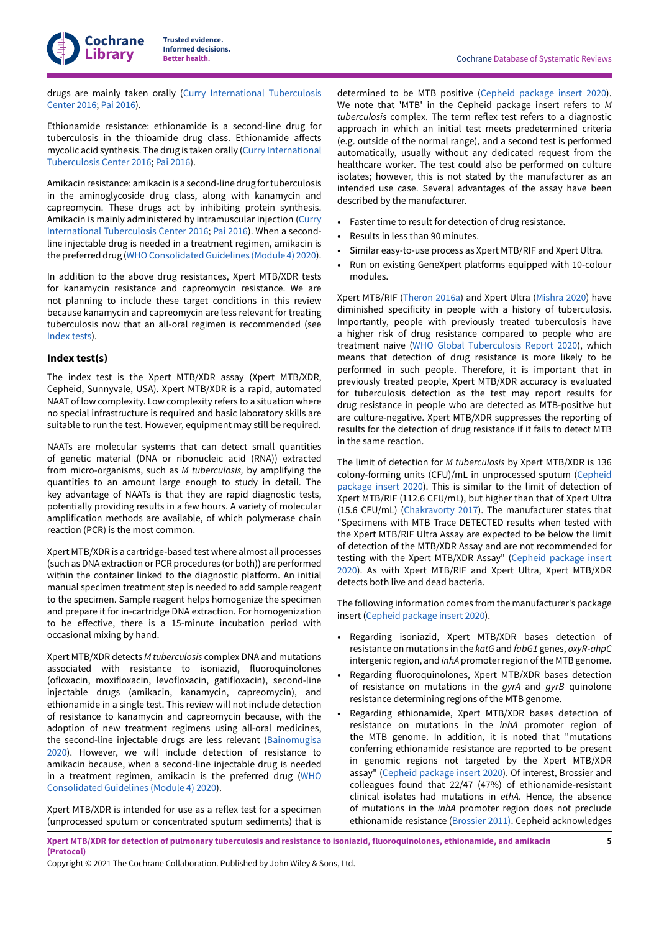drugs are mainly taken orally (Curry [International](#page-18-7) Tuberculosis [Center](#page-18-7) 2016; Pai [2016](#page-19-7)).

Ethionamide resistance: ethionamide is a second-line drug for tuberculosis in the thioamide drug class. Ethionamide affects mycolic acid synthesis. The drug is taken orally (Curry [International](#page-18-7) [Tuberculosis](#page-18-7) Center 2016; Pai [2016\)](#page-19-7).

Amikacin resistance: amikacin is a second-line drug fortuberculosis in the aminoglycoside drug class, along with kanamycin and capreomycin. These drugs act by inhibiting protein synthesis. Amikacin is mainly administered by intramuscular injection ([Curry](#page-18-7) [International](#page-18-7) Tuberculosis Center 2016; Pai [2016\)](#page-19-7). When a secondline injectable drug is needed in a treatment regimen, amikacin is the preferred drug (WHO Consolidated Guidelines (Module 4) 2020).

In addition to the above drug resistances, Xpert MTB/XDR tests for kanamycin resistance and capreomycin resistance. We are not planning to include these target conditions in this review because kanamycin and capreomycin are less relevant for treating tuberculosis now that an all-oral regimen is recommended (see [Index](#page-12-0) tests).

### **Index test(s)**

The index test is the Xpert MTB/XDR assay (Xpert MTB/XDR, Cepheid, Sunnyvale, USA). Xpert MTB/XDR is a rapid, automated NAAT of low complexity. Low complexity refers to a situation where no special infrastructure is required and basic laboratory skills are suitable to run the test. However, equipment may still be required.

NAATs are molecular systems that can detect small quantities of genetic material (DNA or ribonucleic acid (RNA)) extracted from micro-organisms, such as *M tuberculosis,* by amplifying the quantities to an amount large enough to study in detail. The key advantage of NAATs is that they are rapid diagnostic tests, potentially providing results in a few hours. A variety of molecular amplification methods are available, of which polymerase chain reaction (PCR) is the most common.

Xpert MTB/XDR is a cartridge-based test where almost all processes (such asDNA extraction or PCR procedures (or both)) are performed within the container linked to the diagnostic platform. An initial manual specimen treatment step is needed to add sample reagent to the specimen. Sample reagent helps homogenize the specimen and prepare it for in-cartridge DNA extraction. For homogenization to be effective, there is a 15-minute incubation period with occasional mixing by hand.

Xpert MTB/XDR detects *M tuberculosis* complex DNA and mutations associated with resistance to isoniazid, fluoroquinolones (ofloxacin, moxifloxacin, levofloxacin, gatifloxacin), second-line injectable drugs (amikacin, kanamycin, capreomycin), and ethionamide in a single test. This review will not include detection of resistance to kanamycin and capreomycin because, with the adoption of new treatment regimens using all-oral medicines, the second-line injectable drugs are less relevant [\(Bainomugisa](#page-18-9) [2020](#page-18-9)). However, we will include detection of resistance to amikacin because, when a second-line injectable drug is needed in a treatment regimen, amikacin is the preferred drug ([WHO](#page-20-5) [Consolidated](#page-20-5) Guidelines (Module 4) 2020).

Xpert MTB/XDR is intended for use as a reflex test for a specimen (unprocessed sputum or concentrated sputum sediments) that is

determined to be MTB positive [\(Cepheid](#page-18-10) package insert 2020). We note that 'MTB' in the Cepheid package insert refers to *M tuberculosis* complex. The term reflex test refers to a diagnostic approach in which an initial test meets predetermined criteria (e.g. outside of the normal range), and a second test is performed automatically, usually without any dedicated request from the healthcare worker. The test could also be performed on culture isolates; however, this is not stated by the manufacturer as an intended use case. Several advantages of the assay have been described by the manufacturer.

- Faster time to result for detection of drug resistance.
- Results in less than 90 minutes.
- Similar easy-to-use process as Xpert MTB/RIF and Xpert Ultra.
- Run on existing GeneXpert platforms equipped with 10-colour modules.

Xpert MTB/RIF [\(Theron](#page-20-2) 2016a) and Xpert Ultra [\(Mishra](#page-19-0) 2020) have diminished specificity in people with a history of tuberculosis. Importantly, people with previously treated tuberculosis have a higher risk of drug resistance compared to people who are treatment naive (WHO Global [Tuberculosis](#page-21-2) Report 2020), which means that detection of drug resistance is more likely to be performed in such people. Therefore, it is important that in previously treated people, Xpert MTB/XDR accuracy is evaluated for tuberculosis detection as the test may report results for drug resistance in people who are detected as MTB-positive but are culture-negative. Xpert MTB/XDR suppresses the reporting of results for the detection of drug resistance if it fails to detect MTB in the same reaction.

The limit of detection for *M tuberculosis* by Xpert MTB/XDR is 136 colony-forming units (CFU)/mL in unprocessed sputum ([Cepheid](#page-18-10) [package](#page-18-10) insert 2020). This is similar to the limit of detection of Xpert MTB/RIF (112.6 CFU/mL), but higher than that of Xpert Ultra (15.6 CFU/mL) ([Chakravorty](#page-18-11) 2017). The manufacturer states that "Specimens with MTB Trace DETECTED results when tested with the Xpert MTB/RIF Ultra Assay are expected to be below the limit of detection of the MTB/XDR Assay and are not recommended for testing with the Xpert MTB/XDR Assay" [\(Cepheid](#page-18-10) package insert [2020\)](#page-18-10). As with Xpert MTB/RIF and Xpert Ultra, Xpert MTB/XDR detects both live and dead bacteria.

The following information comes from the manufacturer's package insert (Cepheid [package](#page-18-10) insert 2020).

- Regarding isoniazid, Xpert MTB/XDR bases detection of resistance on mutations in the *katG* and *fabG1* genes, *oxyR*-*ahpC* intergenic region, and *inhA* promoter region of the MTB genome.
- Regarding fluoroquinolones, Xpert MTB/XDR bases detection of resistance on mutations in the *gyrA* and *gyrB* quinolone resistance determining regions of the MTB genome.
- Regarding ethionamide, Xpert MTB/XDR bases detection of resistance on mutations in the *inhA* promoter region of the MTB genome. In addition, it is noted that "mutations conferring ethionamide resistance are reported to be present in genomic regions not targeted by the Xpert MTB/XDR assay" (Cepheid [package](#page-18-10) insert 2020). Of interest, Brossier and colleagues found that 22/47 (47%) of ethionamide-resistant clinical isolates had mutations in *ethA*. Hence, the absence of mutations in the *inhA* promoter region does not preclude ethionamide resistance ([Brossier](#page-18-12) 2011). Cepheid acknowledges

Xpert MTB/XDR for detection of pulmonary tuberculosis and resistance to isoniazid, fluoroquinolones, ethionamide, and amikacin **(Protocol)**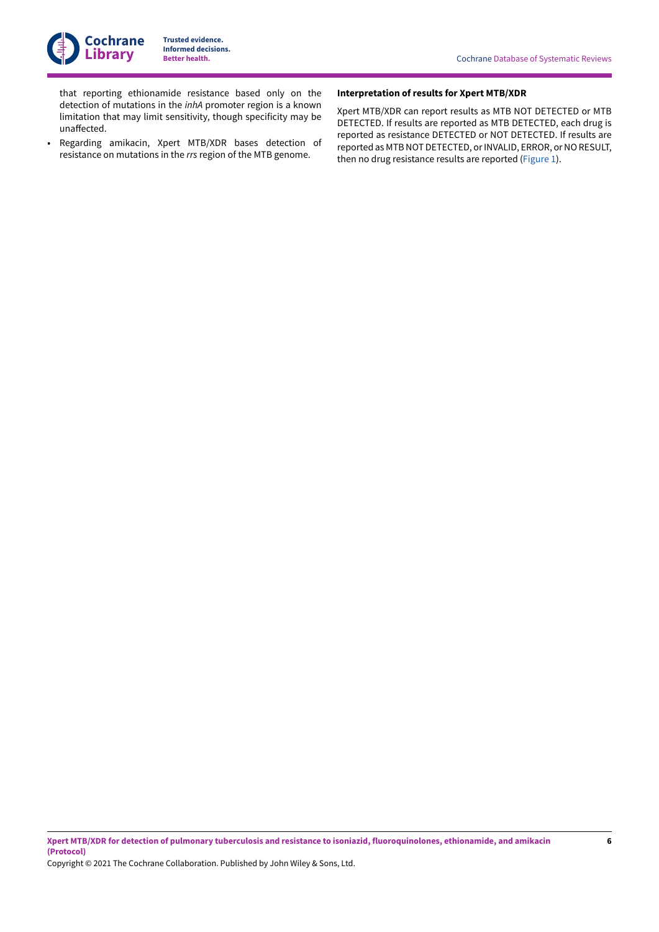

that reporting ethionamide resistance based only on the detection of mutations in the *inhA* promoter region is a known limitation that may limit sensitivity, though specificity may be unaffected.

• Regarding amikacin, Xpert MTB/XDR bases detection of resistance on mutations in the *rrs* region of the MTB genome.

#### **Interpretation of results for Xpert MTB/XDR**

Xpert MTB/XDR can report results as MTB NOT DETECTED or MTB DETECTED. If results are reported as MTB DETECTED, each drug is reported as resistance DETECTED or NOT DETECTED. If results are reported as MTB NOT DETECTED, or INVALID, ERROR, or NO RESULT, then no drug resistance results are reported ([Figure](#page-8-0) 1).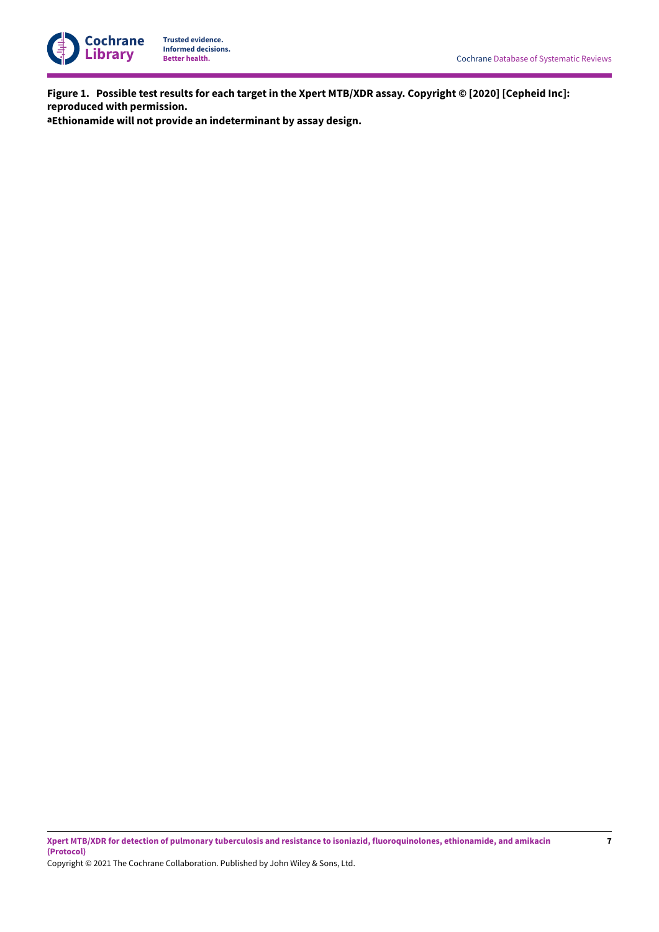

<span id="page-8-0"></span>Figure 1. Possible test results for each target in the Xpert MTB/XDR assay. Copyright © [2020] [Cepheid Inc]: **reproduced with permission.**

**aEthionamide will not provide an indeterminant by assay design.**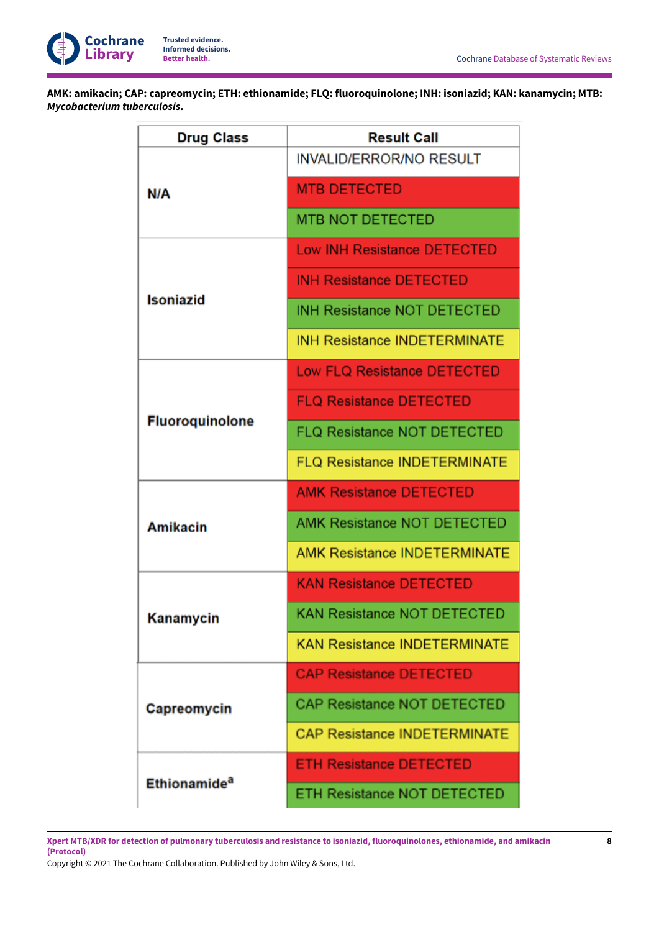

**AMK: amikacin; CAP: capreomycin; ETH: ethionamide; FLQ: fluoroquinolone; INH: isoniazid; KAN: kanamycin; MTB:** *Mycobacterium tuberculosis***.**

| <b>Drug Class</b>        | <b>Result Call</b>                  |  |  |
|--------------------------|-------------------------------------|--|--|
|                          | <b>INVALID/ERROR/NO RESULT</b>      |  |  |
| N/A                      | <b>MTB DETECTED</b>                 |  |  |
|                          | <b>MTB NOT DETECTED</b>             |  |  |
|                          | <b>Low INH Resistance DETECTED</b>  |  |  |
|                          | <b>INH Resistance DETECTED</b>      |  |  |
| <b>Isoniazid</b>         | <b>INH Resistance NOT DETECTED</b>  |  |  |
|                          | <b>INH Resistance INDETERMINATE</b> |  |  |
|                          | <b>Low FLQ Resistance DETECTED</b>  |  |  |
|                          | <b>FLQ Resistance DETECTED</b>      |  |  |
| <b>Fluoroquinolone</b>   | <b>FLQ Resistance NOT DETECTED</b>  |  |  |
|                          | <b>FLQ Resistance INDETERMINATE</b> |  |  |
|                          | <b>AMK Resistance DETECTED</b>      |  |  |
| <b>Amikacin</b>          | <b>AMK Resistance NOT DETECTED</b>  |  |  |
|                          | <b>AMK Resistance INDETERMINATE</b> |  |  |
|                          | <b>KAN Resistance DETECTED</b>      |  |  |
| Kanamycin                | <b>KAN Resistance NOT DETECTED</b>  |  |  |
|                          | <b>KAN Resistance INDETERMINATE</b> |  |  |
|                          | <b>CAP Resistance DETECTED</b>      |  |  |
| Capreomycin              | <b>CAP Resistance NOT DETECTED</b>  |  |  |
|                          | <b>CAP Resistance INDETERMINATE</b> |  |  |
|                          | <b>ETH Resistance DETECTED</b>      |  |  |
| Ethionamide <sup>a</sup> | <b>ETH Resistance NOT DETECTED</b>  |  |  |

Xpert MTB/XDR for detection of pulmonary tuberculosis and resistance to isoniazid, fluoroquinolones, ethionamide, and amikacin **(Protocol)**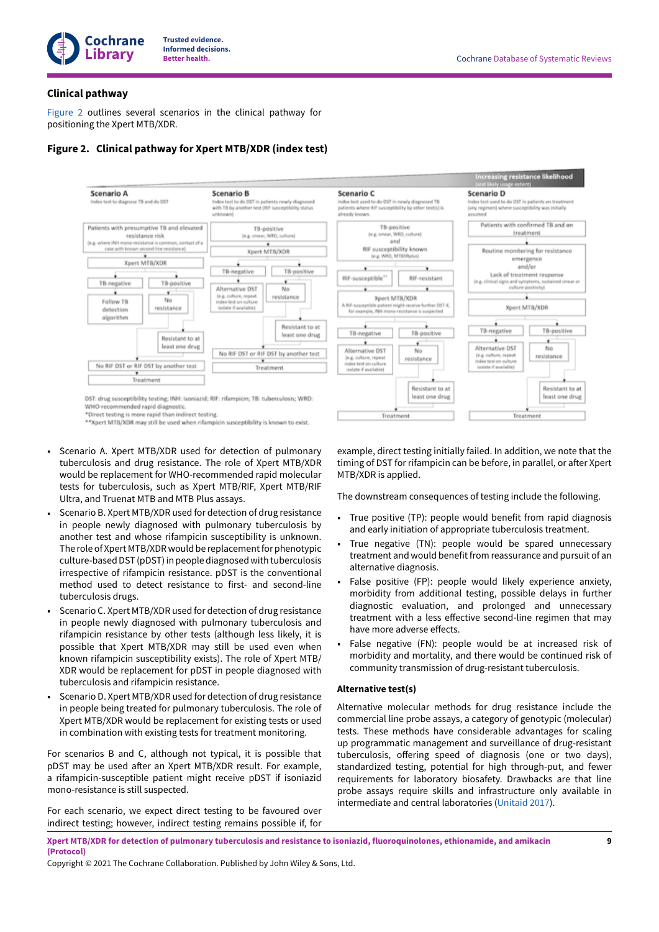

### **Clinical pathway**

[Figure](#page-10-0) 2 outlines several scenarios in the clinical pathway for positioning the Xpert MTB/XDR.



### <span id="page-10-0"></span>**Figure 2. Clinical pathway for Xpert MTB/XDR (index test)**

\*Direct testing is more rapid than indirect testing

\*\*Xpert MTB/XDR may still be used when rifampicin susceptibility is known to exist.

- Scenario A. Xpert MTB/XDR used for detection of pulmonary tuberculosis and drug resistance. The role of Xpert MTB/XDR would be replacement for WHO-recommended rapid molecular tests for tuberculosis, such as Xpert MTB/RIF, Xpert MTB/RIF Ultra, and Truenat MTB and MTB Plus assays.
- Scenario B. Xpert MTB/XDR used for detection of drug resistance in people newly diagnosed with pulmonary tuberculosis by another test and whose rifampicin susceptibility is unknown. The role of Xpert MTB/XDR would be replacement for phenotypic culture-based DST (pDST) in people diagnosed with tuberculosis irrespective of rifampicin resistance. pDST is the conventional method used to detect resistance to first- and second-line tuberculosis drugs.
- Scenario C. Xpert MTB/XDR used for detection of drug resistance in people newly diagnosed with pulmonary tuberculosis and rifampicin resistance by other tests (although less likely, it is possible that Xpert MTB/XDR may still be used even when known rifampicin susceptibility exists). The role of Xpert MTB/ XDR would be replacement for pDST in people diagnosed with tuberculosis and rifampicin resistance.
- Scenario D. Xpert MTB/XDR used for detection of drug resistance in people being treated for pulmonary tuberculosis. The role of Xpert MTB/XDR would be replacement for existing tests or used in combination with existing tests for treatment monitoring.

For scenarios B and C, although not typical, it is possible that pDST may be used after an Xpert MTB/XDR result. For example, a rifampicin-susceptible patient might receive pDST if isoniazid mono-resistance is still suspected.

For each scenario, we expect direct testing to be favoured over indirect testing; however, indirect testing remains possible if, for example, direct testing initially failed. In addition, we note that the timing of DST for rifampicin can be before, in parallel, or after Xpert MTB/XDR is applied.

The downstream consequences of testing include the following.

- True positive (TP): people would benefit from rapid diagnosis and early initiation of appropriate tuberculosis treatment.
- True negative (TN): people would be spared unnecessary treatment and would benefit from reassurance and pursuit of an alternative diagnosis.
- False positive (FP): people would likely experience anxiety, morbidity from additional testing, possible delays in further diagnostic evaluation, and prolonged and unnecessary treatment with a less effective second-line regimen that may have more adverse effects.
- False negative (FN): people would be at increased risk of morbidity and mortality, and there would be continued risk of community transmission of drug-resistant tuberculosis.

### **Alternative test(s)**

Alternative molecular methods for drug resistance include the commercial line probe assays, a category of genotypic (molecular) tests. These methods have considerable advantages for scaling up programmatic management and surveillance of drug-resistant tuberculosis, offering speed of diagnosis (one or two days), standardized testing, potential for high through-put, and fewer requirements for laboratory biosafety. Drawbacks are that line probe assays require skills and infrastructure only available in intermediate and central laboratories [\(Unitaid](#page-20-8) 2017).

Xpert MTB/XDR for detection of pulmonary tuberculosis and resistance to isoniazid, fluoroquinolones, ethionamide, and amikacin **(Protocol)**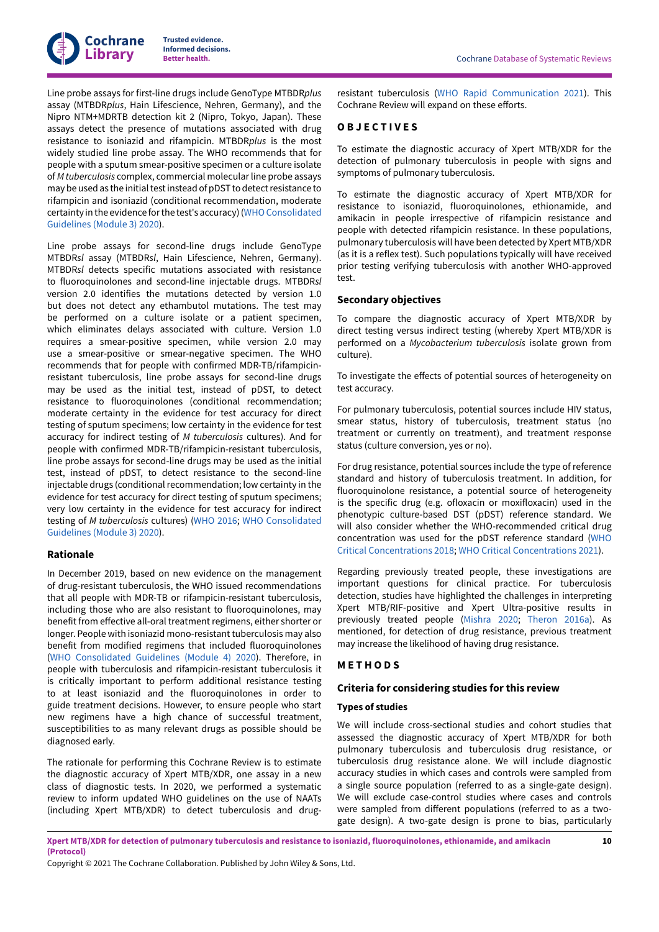Line probe assays for first-line drugs include GenoType MTBDR*plus* assay (MTBDR*plus*, Hain Lifescience, Nehren, Germany), and the Nipro NTM+MDRTB detection kit 2 (Nipro, Tokyo, Japan). These assays detect the presence of mutations associated with drug resistance to isoniazid and rifampicin. MTBDR*plus* is the most widely studied line probe assay. The WHO recommends that for people with a sputum smear-positive specimen or a culture isolate of *M tuberculosis* complex, commercial molecularline probe assays may be used as the initial test instead of pDST to detect resistance to rifampicin and isoniazid (conditional recommendation, moderate certainty in the evidence forthe test's accuracy)[\(WHOConsolidated](#page-20-7) [Guidelines \(Module 3\) 2020\)](#page-20-7).

Line probe assays for second-line drugs include GenoType MTBDR*sl* assay (MTBDR*sl*, Hain Lifescience, Nehren, Germany). MTBDR*sl* detects specific mutations associated with resistance to fluoroquinolones and second-line injectable drugs. MTBDR*sl* version 2.0 identifies the mutations detected by version 1.0 but does not detect any ethambutol mutations. The test may be performed on a culture isolate or a patient specimen, which eliminates delays associated with culture. Version 1.0 requires a smear-positive specimen, while version 2.0 may use a smear-positive or smear-negative specimen. The WHO recommends that for people with confirmed MDR-TB/rifampicinresistant tuberculosis, line probe assays for second-line drugs may be used as the initial test, instead of pDST, to detect resistance to fluoroquinolones (conditional recommendation; moderate certainty in the evidence for test accuracy for direct testing of sputum specimens; low certainty in the evidence for test accuracy for indirect testing of *M tuberculosis* cultures). And for people with confirmed MDR-TB/rifampicin-resistant tuberculosis, line probe assays for second-line drugs may be used as the initial test, instead of pDST, to detect resistance to the second-line injectable drugs (conditional recommendation; low certainty in the evidence for test accuracy for direct testing of sputum specimens; very low certainty in the evidence for test accuracy for indirect testing of *M tuberculosis* cultures) [\(WHO 2016](#page-20-9); WHO [Consolidated](#page-20-7) [Guidelines \(Module 3\) 2020\)](#page-20-7).

### **Rationale**

In December 2019, based on new evidence on the management of drug-resistant tuberculosis, the WHO issued recommendations that all people with MDR-TB or rifampicin-resistant tuberculosis, including those who are also resistant to fluoroquinolones, may benefit from effective all-oral treatment regimens, either shorter or longer. People with isoniazid mono-resistant tuberculosis may also benefit from modified regimens that included fluoroquinolones (WHO [Consolidated](#page-20-5) Guidelines (Module 4) 2020). Therefore, in people with tuberculosis and rifampicin-resistant tuberculosis it is critically important to perform additional resistance testing to at least isoniazid and the fluoroquinolones in order to guide treatment decisions. However, to ensure people who start new regimens have a high chance of successful treatment, susceptibilities to as many relevant drugs as possible should be diagnosed early.

The rationale for performing this Cochrane Review is to estimate the diagnostic accuracy of Xpert MTB/XDR, one assay in a new class of diagnostic tests. In 2020, we performed a systematic review to inform updated WHO guidelines on the use of NAATs (including Xpert MTB/XDR) to detect tuberculosis and drug-

resistant tuberculosis (WHO Rapid [Communication](#page-21-6) 2021). This Cochrane Review will expand on these efforts.

# <span id="page-11-0"></span>**O B J E C T I V E S**

To estimate the diagnostic accuracy of Xpert MTB/XDR for the detection of pulmonary tuberculosis in people with signs and symptoms of pulmonary tuberculosis.

To estimate the diagnostic accuracy of Xpert MTB/XDR for resistance to isoniazid, fluoroquinolones, ethionamide, and amikacin in people irrespective of rifampicin resistance and people with detected rifampicin resistance. In these populations, pulmonary tuberculosis will have been detected by Xpert MTB/XDR (as it is a reflex test). Such populations typically will have received prior testing verifying tuberculosis with another WHO-approved test.

### **Secondary objectives**

To compare the diagnostic accuracy of Xpert MTB/XDR by direct testing versus indirect testing (whereby Xpert MTB/XDR is performed on a *Mycobacterium tuberculosis* isolate grown from culture).

To investigate the effects of potential sources of heterogeneity on test accuracy.

For pulmonary tuberculosis, potential sources include HIV status, smear status, history of tuberculosis, treatment status (no treatment or currently on treatment), and treatment response status (culture conversion, yes or no).

For drug resistance, potential sources include the type of reference standard and history of tuberculosis treatment. In addition, for fluoroquinolone resistance, a potential source of heterogeneity is the specific drug (e.g. ofloxacin or moxifloxacin) used in the phenotypic culture-based DST (pDST) reference standard. We will also consider whether the WHO-recommended critical drug concentration was used for the pDST reference standard ([WHO](#page-20-0) Critical [Concentrations](#page-20-0) 2018; WHO Critical [Concentrations](#page-20-1) 2021).

Regarding previously treated people, these investigations are important questions for clinical practice. For tuberculosis detection, studies have highlighted the challenges in interpreting Xpert MTB/RIF-positive and Xpert Ultra-positive results in previously treated people ([Mishra](#page-19-0) 2020; [Theron](#page-20-2) 2016a). As mentioned, for detection of drug resistance, previous treatment may increase the likelihood of having drug resistance.

### <span id="page-11-1"></span>**M E T H O D S**

### **Criteria for considering studies for this review**

### **Types of studies**

We will include cross-sectional studies and cohort studies that assessed the diagnostic accuracy of Xpert MTB/XDR for both pulmonary tuberculosis and tuberculosis drug resistance, or tuberculosis drug resistance alone. We will include diagnostic accuracy studies in which cases and controls were sampled from a single source population (referred to as a single-gate design). We will exclude case-control studies where cases and controls were sampled from different populations (referred to as a twogate design). A two-gate design is prone to bias, particularly

Xpert MTB/XDR for detection of pulmonary tuberculosis and resistance to isoniazid, fluoroquinolones, ethionamide, and amikacin **(Protocol)**

Copyright © 2021 The Cochrane Collaboration. Published by John Wiley & Sons, Ltd.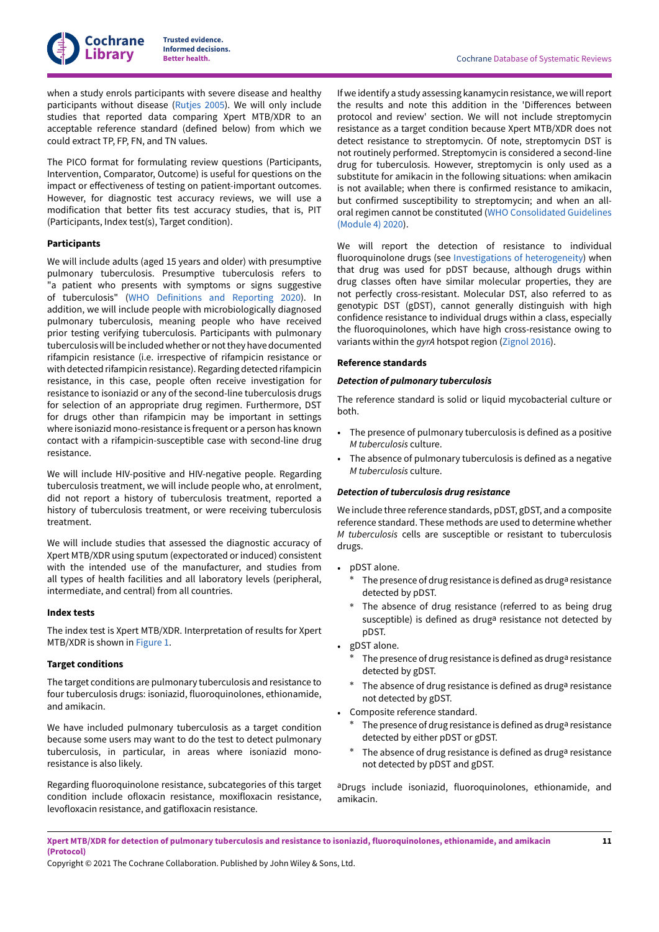

when a study enrols participants with severe disease and healthy participants without disease [\(Rutjes 2005\)](#page-19-8). We will only include studies that reported data comparing Xpert MTB/XDR to an acceptable reference standard (defined below) from which we could extract TP, FP, FN, and TN values.

The PICO format for formulating review questions (Participants, Intervention, Comparator, Outcome) is useful for questions on the impact or effectiveness of testing on patient-important outcomes. However, for diagnostic test accuracy reviews, we will use a modification that better fits test accuracy studies, that is, PIT (Participants, Index test(s), Target condition).

#### **Participants**

We will include adults (aged 15 years and older) with presumptive pulmonary tuberculosis. Presumptive tuberculosis refers to "a patient who presents with symptoms or signs suggestive of tuberculosis" (WHO [Definitions](#page-20-10) and Reporting 2020). In addition, we will include people with microbiologically diagnosed pulmonary tuberculosis, meaning people who have received prior testing verifying tuberculosis. Participants with pulmonary tuberculosiswill be includedwhether or notthey have documented rifampicin resistance (i.e. irrespective of rifampicin resistance or with detected rifampicin resistance). Regarding detected rifampicin resistance, in this case, people often receive investigation for resistance to isoniazid or any of the second-line tuberculosis drugs for selection of an appropriate drug regimen. Furthermore, DST for drugs other than rifampicin may be important in settings where isoniazid mono-resistance is frequent or a person has known contact with a rifampicin-susceptible case with second-line drug resistance.

We will include HIV-positive and HIV-negative people. Regarding tuberculosis treatment, we will include people who, at enrolment, did not report a history of tuberculosis treatment, reported a history of tuberculosis treatment, or were receiving tuberculosis treatment.

We will include studies that assessed the diagnostic accuracy of Xpert MTB/XDR using sputum (expectorated or induced) consistent with the intended use of the manufacturer, and studies from all types of health facilities and all laboratory levels (peripheral, intermediate, and central) from all countries.

#### <span id="page-12-0"></span>**Index tests**

The index test is Xpert MTB/XDR. Interpretation of results for Xpert MTB/XDR is shown in [Figure](#page-8-0) 1.

#### **Target conditions**

The target conditions are pulmonary tuberculosis and resistance to four tuberculosis drugs: isoniazid, fluoroquinolones, ethionamide, and amikacin.

We have included pulmonary tuberculosis as a target condition because some users may want to do the test to detect pulmonary tuberculosis, in particular, in areas where isoniazid monoresistance is also likely.

Regarding fluoroquinolone resistance, subcategories of this target condition include ofloxacin resistance, moxifloxacin resistance, levofloxacin resistance, and gatifloxacin resistance.

If we identify a study assessing kanamycin resistance, we willreport the results and note this addition in the 'Differences between protocol and review' section. We will not include streptomycin resistance as a target condition because Xpert MTB/XDR does not detect resistance to streptomycin. Of note, streptomycin DST is not routinely performed. Streptomycin is considered a second-line drug for tuberculosis. However, streptomycin is only used as a substitute for amikacin in the following situations: when amikacin is not available; when there is confirmed resistance to amikacin, but confirmed susceptibility to streptomycin; and when an alloral regimen cannot be constituted (WHO [Consolidated](#page-20-5) Guidelines [\(Module 4\) 2020](#page-20-5)).

We will report the detection of resistance to individual fluoroquinolone drugs (see Investigations of [heterogeneity\)](#page-16-0) when that drug was used for pDST because, although drugs within drug classes often have similar molecular properties, they are not perfectly cross-resistant. Molecular DST, also referred to as genotypic DST (gDST), cannot generally distinguish with high confidence resistance to individual drugs within a class, especially the fluoroquinolones, which have high cross-resistance owing to variants within the *gyrA* hotspot region [\(Zignol 2016](#page-21-7)).

#### **Reference standards**

#### *Detection of pulmonary tuberculosis*

The reference standard is solid or liquid mycobacterial culture or both.

- The presence of pulmonary tuberculosis is defined as a positive *M tuberculosis* culture.
- The absence of pulmonary tuberculosis is defined as a negative *M tuberculosis* culture.

### *Detection of tuberculosis drug resistance*

We include three reference standards, pDST, gDST, and a composite reference standard. These methods are used to determine whether *M tuberculosis* cells are susceptible or resistant to tuberculosis drugs.

- pDST alone.
	- The presence of drug resistance is defined as druga resistance detected by pDST.
	- The absence of drug resistance (referred to as being drug susceptible) is defined as drug<sup>a</sup> resistance not detected by pDST.
- gDST alone.
	- The presence of drug resistance is defined as druga resistance detected by gDST.
	- The absence of drug resistance is defined as drug<sup>a</sup> resistance not detected by gDST.
- Composite reference standard.
	- The presence of drug resistance is defined as druga resistance detected by either pDST or gDST.
	- The absence of drug resistance is defined as drug<sup>a</sup> resistance not detected by pDST and gDST.

aDrugs include isoniazid, fluoroquinolones, ethionamide, and amikacin.

Xpert MTB/XDR for detection of pulmonary tuberculosis and resistance to isoniazid, fluoroquinolones, ethionamide, and amikacin **(Protocol)**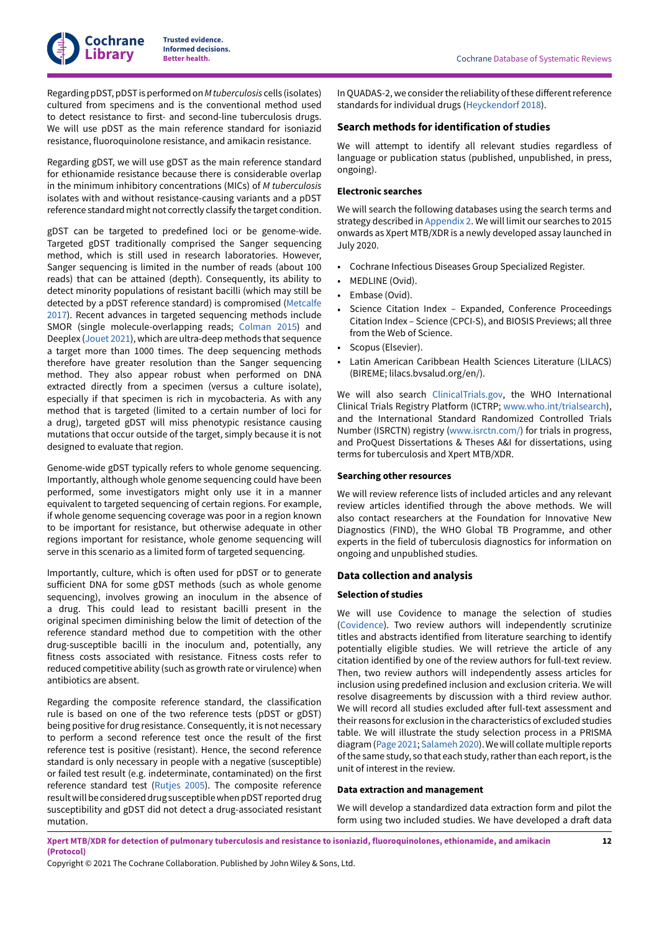RegardingpDST,pDST isperformedon*Mtuberculosis* cells (isolates) cultured from specimens and is the conventional method used to detect resistance to first- and second-line tuberculosis drugs. We will use pDST as the main reference standard for isoniazid resistance, fluoroquinolone resistance, and amikacin resistance.

Regarding gDST, we will use gDST as the main reference standard for ethionamide resistance because there is considerable overlap in the minimum inhibitory concentrations (MICs) of *M tuberculosis* isolates with and without resistance-causing variants and a pDST reference standard might not correctly classify the target condition.

gDST can be targeted to predefined loci or be genome-wide. Targeted gDST traditionally comprised the Sanger sequencing method, which is still used in research laboratories. However, Sanger sequencing is limited in the number of reads (about 100 reads) that can be attained (depth). Consequently, its ability to detect minority populations of resistant bacilli (which may still be detected by a pDST reference standard) is compromised ([Metcalfe](#page-19-9) [2017](#page-19-9)). Recent advances in targeted sequencing methods include SMOR (single molecule-overlapping reads; [Colman 2015](#page-18-13)) and Deeplex ([Jouet](#page-18-14) 2021), which are ultra-deep methods that sequence a target more than 1000 times. The deep sequencing methods therefore have greater resolution than the Sanger sequencing method. They also appear robust when performed on DNA extracted directly from a specimen (versus a culture isolate), especially if that specimen is rich in mycobacteria. As with any method that is targeted (limited to a certain number of loci for a drug), targeted gDST will miss phenotypic resistance causing mutations that occur outside of the target, simply because it is not designed to evaluate that region.

Genome-wide gDST typically refers to whole genome sequencing. Importantly, although whole genome sequencing could have been performed, some investigators might only use it in a manner equivalent to targeted sequencing of certain regions. For example, if whole genome sequencing coverage was poor in a region known to be important for resistance, but otherwise adequate in other regions important for resistance, whole genome sequencing will serve in this scenario as a limited form of targeted sequencing.

Importantly, culture, which is often used for pDST or to generate sufficient DNA for some gDST methods (such as whole genome sequencing), involves growing an inoculum in the absence of a drug. This could lead to resistant bacilli present in the original specimen diminishing below the limit of detection of the reference standard method due to competition with the other drug-susceptible bacilli in the inoculum and, potentially, any fitness costs associated with resistance. Fitness costs refer to reduced competitive ability (such as growth rate or virulence) when antibiotics are absent.

Regarding the composite reference standard, the classification rule is based on one of the two reference tests (pDST or gDST) being positive for drug resistance. Consequently, it is not necessary to perform a second reference test once the result of the first reference test is positive (resistant). Hence, the second reference standard is only necessary in people with a negative (susceptible) or failed test result (e.g. indeterminate, contaminated) on the first reference standard test ([Rutjes 2005\)](#page-19-8). The composite reference result will be considered drug susceptible when pDST reported drug susceptibility and gDST did not detect a drug-associated resistant mutation.

In QUADAS-2, we consider the reliability of these different reference standards for individual drugs [\(Heyckendorf](#page-18-15) 2018).

### **Search methods for identification of studies**

We will attempt to identify all relevant studies regardless of language or publication status (published, unpublished, in press, ongoing).

#### **Electronic searches**

We will search the following databases using the search terms and strategy described in [Appendix 2.](#page-23-0) We will limit our searches to 2015 onwards as Xpert MTB/XDR is a newly developed assay launched in July 2020.

- Cochrane Infectious Diseases Group Specialized Register.
- MEDLINE (Ovid).
- Embase (Ovid).
- Science Citation Index Expanded, Conference Proceedings Citation Index – Science (CPCI-S), and BIOSIS Previews; all three from the Web of Science.
- Scopus (Elsevier).
- Latin American Caribbean Health Sciences Literature (LILACS) (BIREME; lilacs.bvsalud.org/en/).

We will also search [ClinicalTrials.gov](http://ClinicalTrials.gov), the WHO International Clinical Trials Registry Platform (ICTRP; [www.who.int/trialsearch\)](http://www.who.int/trialsearch), and the International Standard Randomized Controlled Trials Number (ISRCTN) registry [\(www.isrctn.com/](http://www.isrctn.com/)) for trials in progress, and ProQuest Dissertations & Theses A&I for dissertations, using terms for tuberculosis and Xpert MTB/XDR.

#### **Searching other resources**

We will review reference lists of included articles and any relevant review articles identified through the above methods. We will also contact researchers at the Foundation for Innovative New Diagnostics (FIND), the WHO Global TB Programme, and other experts in the field of tuberculosis diagnostics for information on ongoing and unpublished studies.

#### **Data collection and analysis**

#### **Selection of studies**

We will use Covidence to manage the selection of studies [\(Covidence\)](#page-18-16). Two review authors will independently scrutinize titles and abstracts identified from literature searching to identify potentially eligible studies. We will retrieve the article of any citation identified by one of the review authors for full-text review. Then, two review authors will independently assess articles for inclusion using predefined inclusion and exclusion criteria. We will resolve disagreements by discussion with a third review author. We will record all studies excluded after full-text assessment and their reasons for exclusion in the characteristics of excluded studies table. We will illustrate the study selection process in a PRISMA diagram([Page](#page-19-10) 2021; [Salameh 2020\)](#page-19-11).Wewill collatemultiple reports of the same study, so that each study, rather than each report, is the unit of interest in the review.

#### <span id="page-13-0"></span>**Data extraction and management**

We will develop a standardized data extraction form and pilot the form using two included studies. We have developed a draft data

Xpert MTB/XDR for detection of pulmonary tuberculosis and resistance to isoniazid, fluoroquinolones, ethionamide, and amikacin **(Protocol)**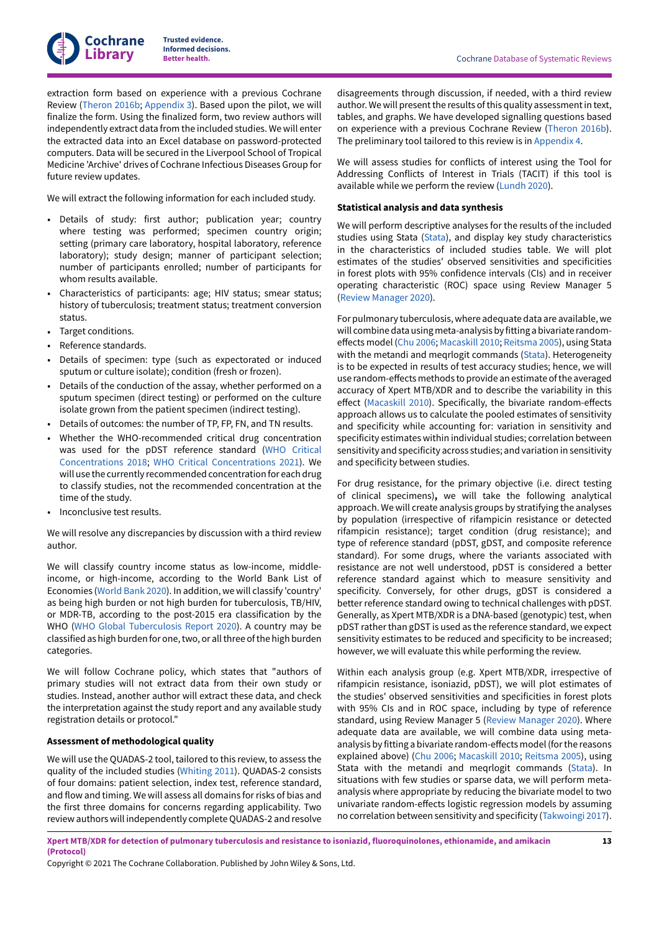extraction form based on experience with a previous Cochrane Review [\(Theron](#page-20-11) 2016b; [Appendix 3](#page-24-0)). Based upon the pilot, we will finalize the form. Using the finalized form, two review authors will independently extract data from the included studies. We will enter the extracted data into an Excel database on password-protected computers. Data will be secured in the Liverpool School of Tropical Medicine 'Archive' drives of Cochrane Infectious Diseases Group for future review updates.

We will extract the following information for each included study.

- Details of study: first author; publication year; country where testing was performed; specimen country origin; setting (primary care laboratory, hospital laboratory, reference laboratory); study design; manner of participant selection; number of participants enrolled; number of participants for whom results available.
- Characteristics of participants: age; HIV status; smear status; history of tuberculosis; treatment status; treatment conversion status.
- Target conditions.
- Reference standards.
- Details of specimen: type (such as expectorated or induced sputum or culture isolate); condition (fresh or frozen).
- Details of the conduction of the assay, whether performed on a sputum specimen (direct testing) or performed on the culture isolate grown from the patient specimen (indirect testing).
- Details of outcomes: the number of TP, FP, FN, and TN results.
- Whether the WHO-recommended critical drug concentration was used for the pDST reference standard (WHO [Critical](#page-20-0) [Concentrations](#page-20-0) 2018; WHO Critical [Concentrations](#page-20-1) 2021). We will use the currently recommended concentration for each drug to classify studies, not the recommended concentration at the time of the study.
- Inconclusive test results.

We will resolve any discrepancies by discussion with a third review author.

We will classify country income status as low-income, middleincome, or high-income, according to the World Bank List of Economies ([World Bank 2020](#page-21-8)). In addition, we will classify 'country' as being high burden or not high burden for tuberculosis, TB/HIV, or MDR-TB, according to the post-2015 era classification by the WHO (WHO Global [Tuberculosis](#page-21-2) Report 2020). A country may be classified as high burden for one, two, or all three of the high burden categories.

We will follow Cochrane policy, which states that "authors of primary studies will not extract data from their own study or studies. Instead, another author will extract these data, and check the interpretation against the study report and any available study registration details or protocol."

### **Assessment of methodological quality**

We will use the QUADAS-2 tool, tailored to this review, to assess the quality of the included studies ([Whiting 2011\)](#page-20-12). QUADAS-2 consists of four domains: patient selection, index test, reference standard, and flow and timing. We will assess all domains forrisks of bias and the first three domains for concerns regarding applicability. Two review authors will independently completeQUADAS-2 and resolve

disagreements through discussion, if needed, with a third review author. We will present the results of this quality assessment in text, tables, and graphs. We have developed signalling questions based on experience with a previous Cochrane Review ([Theron](#page-20-11) 2016b). The preliminary tool tailored to this review is in [Appendix 4.](#page-31-0)

We will assess studies for conflicts of interest using the Tool for Addressing Conflicts of Interest in Trials (TACIT) if this tool is available while we perform the review [\(Lundh](#page-19-12) 2020).

### <span id="page-14-0"></span>**Statistical analysis and data synthesis**

We will perform descriptive analyses for the results of the included studies using Stata [\(Stata\)](#page-20-13), and display key study characteristics in the characteristics of included studies table. We will plot estimates of the studies' observed sensitivities and specificities in forest plots with 95% confidence intervals (CIs) and in receiver operating characteristic (ROC) space using Review Manager 5 (Review [Manager](#page-19-13) 2020).

For pulmonary tuberculosis, where adequate data are available, we will combine data using meta-analysis by fitting a bivariate random-effects model [\(Chu 2006;](#page-18-17) [Macaskill](#page-19-14) 2010; [Reitsma](#page-19-15) 2005), using Stata with the metandi and meqrlogit commands [\(Stata\)](#page-20-13). Heterogeneity is to be expected in results of test accuracy studies; hence, we will use random-effects methods to provide an estimate of the averaged accuracy of Xpert MTB/XDR and to describe the variability in this effect ([Macaskill](#page-19-14) 2010). Specifically, the bivariate random-effects approach allows us to calculate the pooled estimates of sensitivity and specificity while accounting for: variation in sensitivity and specificity estimates within individual studies; correlation between sensitivity and specificity across studies; and variation in sensitivity and specificity between studies.

For drug resistance, for the primary objective (i.e. direct testing of clinical specimens)**,** we will take the following analytical approach. We will create analysis groups by stratifying the analyses by population (irrespective of rifampicin resistance or detected rifampicin resistance); target condition (drug resistance); and type of reference standard (pDST, gDST, and composite reference standard). For some drugs, where the variants associated with resistance are not well understood, pDST is considered a better reference standard against which to measure sensitivity and specificity. Conversely, for other drugs, gDST is considered a better reference standard owing to technical challenges with pDST. Generally, as Xpert MTB/XDR is a DNA-based (genotypic) test, when pDST rather than gDST is used as the reference standard, we expect sensitivity estimates to be reduced and specificity to be increased; however, we will evaluate this while performing the review.

Within each analysis group (e.g. Xpert MTB/XDR, irrespective of rifampicin resistance, isoniazid, pDST), we will plot estimates of the studies' observed sensitivities and specificities in forest plots with 95% CIs and in ROC space, including by type of reference standard, using Review Manager 5 (Review [Manager](#page-19-13) 2020). Where adequate data are available, we will combine data using metaanalysis by fitting a bivariate random-effects model (for the reasons explained above) ([Chu 2006](#page-18-17); [Macaskill](#page-19-14) 2010; [Reitsma](#page-19-15) 2005), using Stata with the metandi and meqrlogit commands [\(Stata](#page-20-13)). In situations with few studies or sparse data, we will perform metaanalysis where appropriate by reducing the bivariate model to two univariate random-effects logistic regression models by assuming no correlation between sensitivity and specificity [\(Takwoingi](#page-20-14) 2017).

Xpert MTB/XDR for detection of pulmonary tuberculosis and resistance to isoniazid, fluoroquinolones, ethionamide, and amikacin **(Protocol)**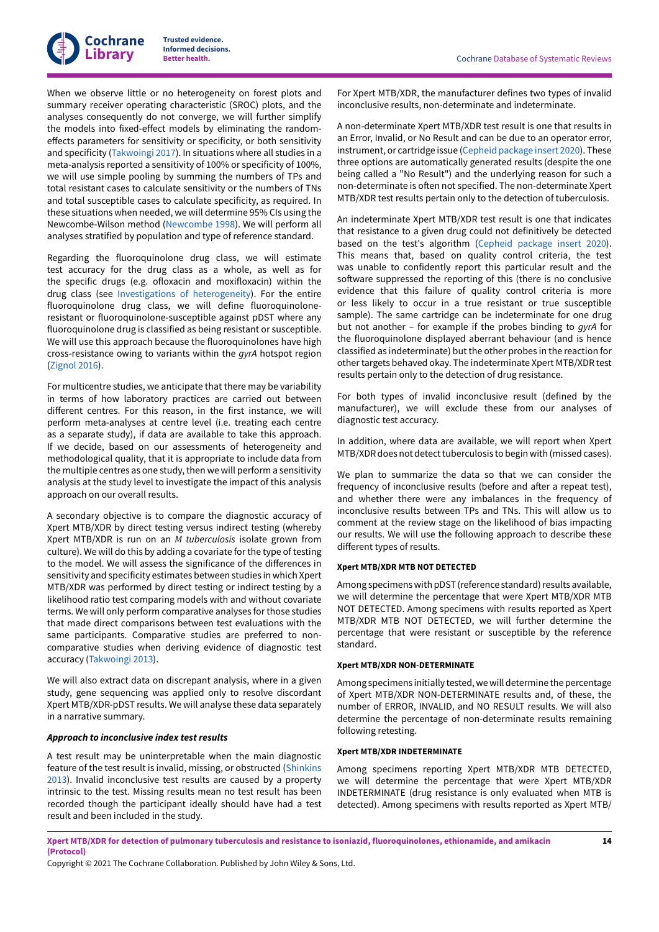

When we observe little or no heterogeneity on forest plots and summary receiver operating characteristic (SROC) plots, and the analyses consequently do not converge, we will further simplify the models into fixed-effect models by eliminating the randomeffects parameters for sensitivity or specificity, or both sensitivity and specificity ([Takwoingi](#page-20-14) 2017). In situations where all studies in a meta-analysis reported a sensitivity of 100% or specificity of 100%, we will use simple pooling by summing the numbers of TPs and total resistant cases to calculate sensitivity or the numbers of TNs and total susceptible cases to calculate specificity, as required. In these situations when needed, we will determine 95% CIs using the Newcombe-Wilson method ([Newcombe](#page-19-16) 1998). We will perform all analyses stratified by population and type of reference standard.

Regarding the fluoroquinolone drug class, we will estimate test accuracy for the drug class as a whole, as well as for the specific drugs (e.g. ofloxacin and moxifloxacin) within the drug class (see Investigations of [heterogeneity\)](#page-16-0). For the entire fluoroquinolone drug class, we will define fluoroquinoloneresistant or fluoroquinolone-susceptible against pDST where any fluoroquinolone drug is classified as being resistant or susceptible. We will use this approach because the fluoroquinolones have high cross-resistance owing to variants within the *gyrA* hotspot region [\(Zignol 2016\)](#page-21-7).

For multicentre studies, we anticipate that there may be variability in terms of how laboratory practices are carried out between different centres. For this reason, in the first instance, we will perform meta-analyses at centre level (i.e. treating each centre as a separate study), if data are available to take this approach. If we decide, based on our assessments of heterogeneity and methodological quality, that it is appropriate to include data from the multiple centres as one study, then we will perform a sensitivity analysis at the study level to investigate the impact of this analysis approach on our overall results.

A secondary objective is to compare the diagnostic accuracy of Xpert MTB/XDR by direct testing versus indirect testing (whereby Xpert MTB/XDR is run on an *M tuberculosis* isolate grown from culture). We will do this by adding a covariate for the type of testing to the model. We will assess the significance of the differences in sensitivity and specificity estimates between studies in which Xpert MTB/XDR was performed by direct testing or indirect testing by a likelihood ratio test comparing models with and without covariate terms. We will only perform comparative analyses for those studies that made direct comparisons between test evaluations with the same participants. Comparative studies are preferred to noncomparative studies when deriving evidence of diagnostic test accuracy [\(Takwoingi](#page-20-15) 2013).

We will also extract data on discrepant analysis, where in a given study, gene sequencing was applied only to resolve discordant Xpert MTB/XDR-pDST results. We will analyse these data separately in a narrative summary.

#### *Approach to inconclusive index test results*

A test result may be uninterpretable when the main diagnostic feature of the test result is invalid, missing, or obstructed [\(Shinkins](#page-20-16) [2013](#page-20-16)). Invalid inconclusive test results are caused by a property intrinsic to the test. Missing results mean no test result has been recorded though the participant ideally should have had a test result and been included in the study.

For Xpert MTB/XDR, the manufacturer defines two types of invalid inconclusive results, non-determinate and indeterminate.

A non-determinate Xpert MTB/XDR test result is one that results in an Error, Invalid, or No Result and can be due to an operator error, instrument, or cartridge issue (Cepheid [package](#page-18-10) insert 2020). These three options are automatically generated results (despite the one being called a "No Result") and the underlying reason for such a non-determinate is often not specified. The non-determinate Xpert MTB/XDR test results pertain only to the detection of tuberculosis.

An indeterminate Xpert MTB/XDR test result is one that indicates that resistance to a given drug could not definitively be detected based on the test's algorithm (Cepheid [package](#page-18-10) insert 2020). This means that, based on quality control criteria, the test was unable to confidently report this particular result and the software suppressed the reporting of this (there is no conclusive evidence that this failure of quality control criteria is more or less likely to occur in a true resistant or true susceptible sample). The same cartridge can be indeterminate for one drug but not another – for example if the probes binding to *gyrA* for the fluoroquinolone displayed aberrant behaviour (and is hence classified as indeterminate) but the other probes in the reaction for other targets behaved okay. The indeterminate Xpert MTB/XDR test results pertain only to the detection of drug resistance.

For both types of invalid inconclusive result (defined by the manufacturer), we will exclude these from our analyses of diagnostic test accuracy.

In addition, where data are available, we will report when Xpert MTB/XDR does not detect tuberculosis to begin with (missed cases).

We plan to summarize the data so that we can consider the frequency of inconclusive results (before and after a repeat test), and whether there were any imbalances in the frequency of inconclusive results between TPs and TNs. This will allow us to comment at the review stage on the likelihood of bias impacting our results. We will use the following approach to describe these different types of results.

### **Xpert MTB/XDR MTB NOT DETECTED**

Among specimens with pDST (reference standard) results available, we will determine the percentage that were Xpert MTB/XDR MTB NOT DETECTED. Among specimens with results reported as Xpert MTB/XDR MTB NOT DETECTED, we will further determine the percentage that were resistant or susceptible by the reference standard.

#### **Xpert MTB/XDR NON-DETERMINATE**

Among specimens initially tested, we will determine the percentage of Xpert MTB/XDR NON-DETERMINATE results and, of these, the number of ERROR, INVALID, and NO RESULT results. We will also determine the percentage of non-determinate results remaining following retesting.

#### **Xpert MTB/XDR INDETERMINATE**

Among specimens reporting Xpert MTB/XDR MTB DETECTED, we will determine the percentage that were Xpert MTB/XDR INDETERMINATE (drug resistance is only evaluated when MTB is detected). Among specimens with results reported as Xpert MTB/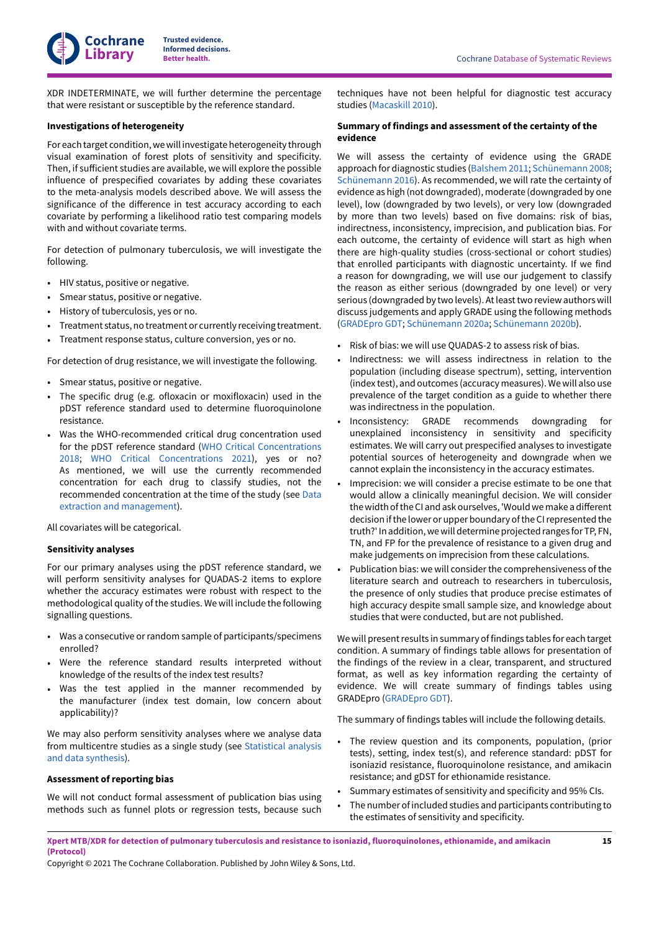XDR INDETERMINATE, we will further determine the percentage that were resistant or susceptible by the reference standard.

# <span id="page-16-0"></span>**Investigations of heterogeneity**

For each target condition,wewill investigate heterogeneity through visual examination of forest plots of sensitivity and specificity. Then, if sufficient studies are available, we will explore the possible influence of prespecified covariates by adding these covariates to the meta-analysis models described above. We will assess the significance of the difference in test accuracy according to each covariate by performing a likelihood ratio test comparing models with and without covariate terms.

For detection of pulmonary tuberculosis, we will investigate the following.

- HIV status, positive or negative.
- Smear status, positive or negative.
- History of tuberculosis, yes or no.
- Treatment status, no treatment or currently receiving treatment.
- Treatment response status, culture conversion, yes or no.

For detection of drug resistance, we will investigate the following.

- Smear status, positive or negative.
- The specific drug (e.g. ofloxacin or moxifloxacin) used in the pDST reference standard used to determine fluoroquinolone resistance.
- Was the WHO-recommended critical drug concentration used for the pDST reference standard (WHO Critical [Concentrations](#page-20-0) [2018;](#page-20-0) WHO Critical [Concentrations](#page-20-1) 2021), yes or no? As mentioned, we will use the currently recommended concentration for each drug to classify studies, not the recommended concentration at the time of the study (see [Data](#page-13-0) extraction and [management\)](#page-13-0).

All covariates will be categorical.

# **Sensitivity analyses**

For our primary analyses using the pDST reference standard, we will perform sensitivity analyses for QUADAS-2 items to explore whether the accuracy estimates were robust with respect to the methodological quality of the studies. We will include the following signalling questions.

- Was a consecutive or random sample of participants/specimens enrolled?
- Were the reference standard results interpreted without knowledge of the results of the index test results?
- Was the test applied in the manner recommended by the manufacturer (index test domain, low concern about applicability)?

We may also perform sensitivity analyses where we analyse data from multicentre studies as a single study (see [Statistical](#page-14-0) analysis and data [synthesis\)](#page-14-0).

# **Assessment of reporting bias**

We will not conduct formal assessment of publication bias using methods such as funnel plots or regression tests, because such

techniques have not been helpful for diagnostic test accuracy studies [\(Macaskill](#page-19-14) 2010).

# **Summary of findings and assessment of the certainty of the evidence**

We will assess the certainty of evidence using the GRADE approach for diagnostic studies ([Balshem 2011;](#page-18-18) [Schünemann 2008;](#page-19-17) [Schünemann 2016](#page-19-18)). As recommended, we will rate the certainty of evidence as high (not downgraded), moderate (downgraded by one level), low (downgraded by two levels), or very low (downgraded by more than two levels) based on five domains: risk of bias, indirectness, inconsistency, imprecision, and publication bias. For each outcome, the certainty of evidence will start as high when there are high-quality studies (cross-sectional or cohort studies) that enrolled participants with diagnostic uncertainty. If we find a reason for downgrading, we will use our judgement to classify the reason as either serious (downgraded by one level) or very serious (downgraded by two levels). At least two review authors will discuss judgements and apply GRADE using the following methods [\(GRADEpro](#page-18-19) GDT; [Schünemann 2020a;](#page-19-19) [Schünemann 2020b\)](#page-20-17).

- Risk of bias: we will use QUADAS-2 to assess risk of bias.
- Indirectness: we will assess indirectness in relation to the population (including disease spectrum), setting, intervention (index test), and outcomes (accuracy measures).We will also use prevalence of the target condition as a guide to whether there was indirectness in the population.
- Inconsistency: GRADE recommends downgrading for unexplained inconsistency in sensitivity and specificity estimates. We will carry out prespecified analyses to investigate potential sources of heterogeneity and downgrade when we cannot explain the inconsistency in the accuracy estimates.
- Imprecision: we will consider a precise estimate to be one that would allow a clinically meaningful decision. We will consider the width of the CI and ask ourselves, 'Would we make a different decision ifthe lower or upper boundary ofthe CIrepresented the truth?' In addition, we will determine projected ranges for TP, FN, TN, and FP for the prevalence of resistance to a given drug and make judgements on imprecision from these calculations.
- Publication bias: we will consider the comprehensiveness of the literature search and outreach to researchers in tuberculosis, the presence of only studies that produce precise estimates of high accuracy despite small sample size, and knowledge about studies that were conducted, but are not published.

We will present results in summary of findings tables for each target condition. A summary of findings table allows for presentation of the findings of the review in a clear, transparent, and structured format, as well as key information regarding the certainty of evidence. We will create summary of findings tables using GRADEpro ([GRADEpro](#page-18-19) GDT).

The summary of findings tables will include the following details.

- The review question and its components, population, (prior tests), setting, index test(s), and reference standard: pDST for isoniazid resistance, fluoroquinolone resistance, and amikacin resistance; and gDST for ethionamide resistance.
- Summary estimates of sensitivity and specificity and 95% CIs.
- The number of included studies and participants contributing to the estimates of sensitivity and specificity.

Xpert MTB/XDR for detection of pulmonary tuberculosis and resistance to isoniazid, fluoroquinolones, ethionamide, and amikacin **(Protocol)**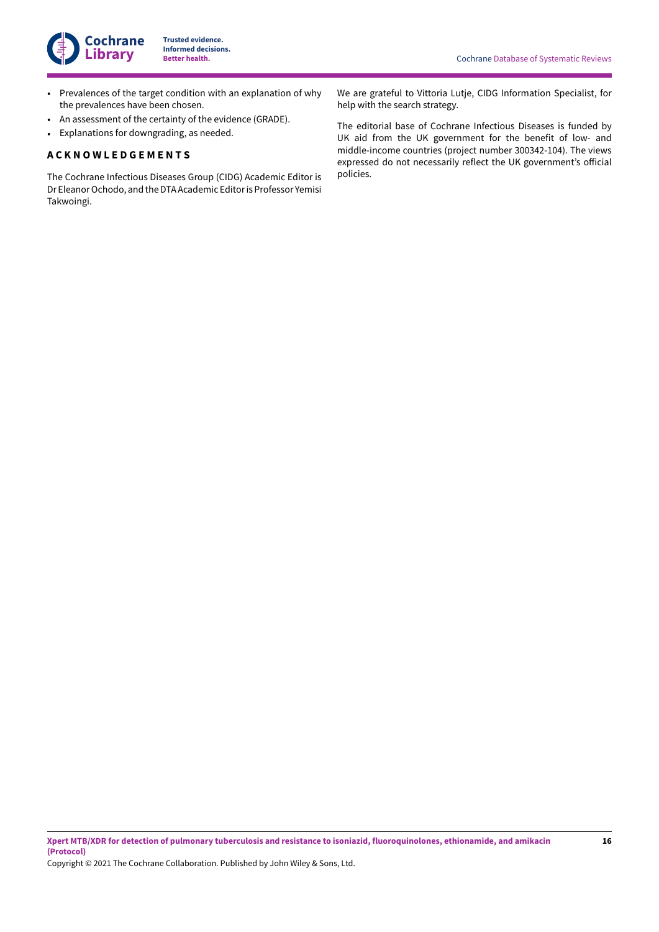

- Prevalences of the target condition with an explanation of why the prevalences have been chosen.
- An assessment of the certainty of the evidence (GRADE).
- Explanations for downgrading, as needed.

### <span id="page-17-0"></span>**A C K N O W L E D G E M E N T S**

The Cochrane Infectious Diseases Group (CIDG) Academic Editor is Dr Eleanor Ochodo, and the DTA Academic Editor is Professor Yemisi Takwoingi.

We are grateful to Vittoria Lutje, CIDG Information Specialist, for help with the search strategy.

The editorial base of Cochrane Infectious Diseases is funded by UK aid from the UK government for the benefit of low- and middle-income countries (project number 300342-104). The views expressed do not necessarily reflect the UK government's official policies.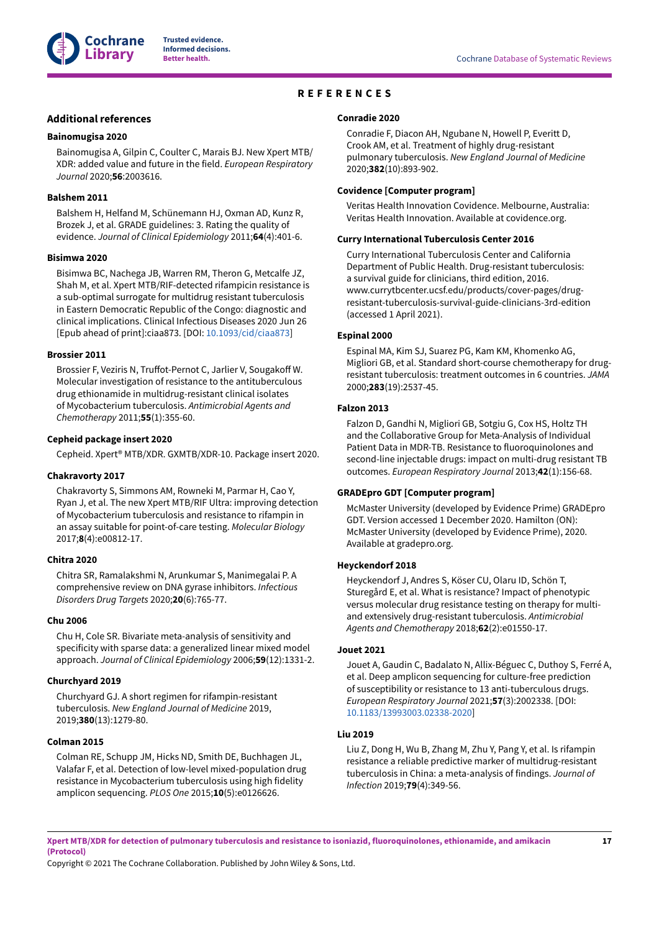

## **REFERENCES**

### <span id="page-18-0"></span>**Additional references**

#### <span id="page-18-9"></span>**Bainomugisa 2020**

Bainomugisa A, Gilpin C, Coulter C, Marais BJ. New Xpert MTB/ XDR: added value and future in the field. *European Respiratory Journal* 2020;**56**:2003616.

#### <span id="page-18-18"></span>**Balshem 2011**

Balshem H, Helfand M, Schünemann HJ, Oxman AD, Kunz R, Brozek J, et al. GRADE guidelines: 3. Rating the quality of evidence. *Journal of Clinical Epidemiology* 2011;**64**(4):401-6.

#### <span id="page-18-2"></span>**Bisimwa 2020**

Bisimwa BC, Nachega JB, Warren RM, Theron G, Metcalfe JZ, Shah M, et al. Xpert MTB/RIF-detected rifampicin resistance is a sub-optimal surrogate for multidrug resistant tuberculosis in Eastern Democratic Republic of the Congo: diagnostic and clinical implications. Clinical Infectious Diseases 2020 Jun 26 [Epub ahead of print]:ciaa873. [DOI: [10.1093/cid/ciaa873\]](https://doi.org/10.1093%2Fcid%2Fciaa873)

#### <span id="page-18-12"></span>**Brossier 2011**

Brossier F, Veziris N, Truffot-Pernot C, Jarlier V, Sougakoff W. Molecular investigation of resistance to the antituberculous drug ethionamide in multidrug-resistant clinical isolates of Mycobacterium tuberculosis. *Antimicrobial Agents and Chemotherapy* 2011;**55**(1):355-60.

#### <span id="page-18-10"></span>**Cepheid package insert 2020**

Cepheid. Xpert® MTB/XDR. GXMTB/XDR-10. Package insert 2020.

#### <span id="page-18-11"></span>**Chakravorty 2017**

Chakravorty S, Simmons AM, Rowneki M, Parmar H, Cao Y, Ryan J, et al. The new Xpert MTB/RIF Ultra: improving detection of Mycobacterium tuberculosis and resistance to rifampin in an assay suitable for point-of-care testing. *Molecular Biology* 2017;**8**(4):e00812-17.

#### <span id="page-18-8"></span>**Chitra 2020**

Chitra SR, Ramalakshmi N, Arunkumar S, Manimegalai P. A comprehensive review on DNA gyrase inhibitors. *Infectious Disorders Drug Targets* 2020;**20**(6):765-77.

#### <span id="page-18-17"></span>**Chu 2006**

Chu H, Cole SR. Bivariate meta-analysis of sensitivity and specificity with sparse data: a generalized linear mixed model approach. *Journal of Clinical Epidemiology* 2006;**59**(12):1331-2.

#### <span id="page-18-5"></span>**Churchyard 2019**

Churchyard GJ. A short regimen for rifampin-resistant tuberculosis. *New England Journal of Medicine* 2019, 2019;**380**(13):1279-80.

#### <span id="page-18-13"></span>**Colman 2015**

Colman RE, Schupp JM, Hicks ND, Smith DE, Buchhagen JL, Valafar F, et al. Detection of low-level mixed-population drug resistance in Mycobacterium tuberculosis using high fidelity amplicon sequencing. *PLOS One* 2015;**10**(5):e0126626.

### <span id="page-18-6"></span>**Conradie 2020**

Conradie F, Diacon AH, Ngubane N, Howell P, Everitt D, Crook AM, et al. Treatment of highly drug-resistant pulmonary tuberculosis. *New England Journal of Medicine* 2020;**382**(10):893-902.

#### <span id="page-18-16"></span>**Covidence [Computer program]**

Veritas Health Innovation Covidence. Melbourne, Australia: Veritas Health Innovation. Available at covidence.org.

### <span id="page-18-7"></span>**Curry International Tuberculosis Center 2016**

Curry International Tuberculosis Center and California Department of Public Health. Drug-resistant tuberculosis: a survival guide for clinicians, third edition, 2016. www.currytbcenter.ucsf.edu/products/cover-pages/drugresistant-tuberculosis-survival-guide-clinicians-3rd-edition (accessed 1 April 2021).

### <span id="page-18-3"></span>**Espinal 2000**

Espinal MA, Kim SJ, Suarez PG, Kam KM, Khomenko AG, Migliori GB, et al. Standard short-course chemotherapy for drugresistant tuberculosis: treatment outcomes in 6 countries. *JAMA* 2000;**283**(19):2537-45.

### <span id="page-18-4"></span>**Falzon 2013**

Falzon D, Gandhi N, Migliori GB, Sotgiu G, Cox HS, Holtz TH and the Collaborative Group for Meta-Analysis of Individual Patient Data in MDR-TB. Resistance to fluoroquinolones and second-line injectable drugs: impact on multi-drug resistant TB outcomes. *European Respiratory Journal* 2013;**42**(1):156-68.

### <span id="page-18-19"></span>**GRADEpro GDT [Computer program]**

McMaster University (developed by Evidence Prime) GRADEpro GDT. Version accessed 1 December 2020. Hamilton (ON): McMaster University (developed by Evidence Prime), 2020. Available at gradepro.org.

### <span id="page-18-15"></span>**Heyckendorf 2018**

Heyckendorf J, Andres S, Köser CU, Olaru ID, Schön T, Sturegård E, et al. What is resistance? Impact of phenotypic versus molecular drug resistance testing on therapy for multiand extensively drug-resistant tuberculosis. *Antimicrobial Agents and Chemotherapy* 2018;**62**(2):e01550-17.

#### <span id="page-18-14"></span>**Jouet 2021**

Jouet A, Gaudin C, Badalato N, Allix-Béguec C, Duthoy S, Ferré A, et al. Deep amplicon sequencing for culture-free prediction of susceptibility or resistance to 13 anti-tuberculous drugs. *European Respiratory Journal* 2021;**57**(3):2002338. [DOI: [10.1183/13993003.02338-2020\]](https://doi.org/10.1183%2F13993003.02338-2020)

### <span id="page-18-1"></span>**Liu 2019**

Liu Z, Dong H, Wu B, Zhang M, Zhu Y, Pang Y, et al. Is rifampin resistance a reliable predictive marker of multidrug-resistant tuberculosis in China: a meta-analysis of findings. *Journal of Infection* 2019;**79**(4):349-56.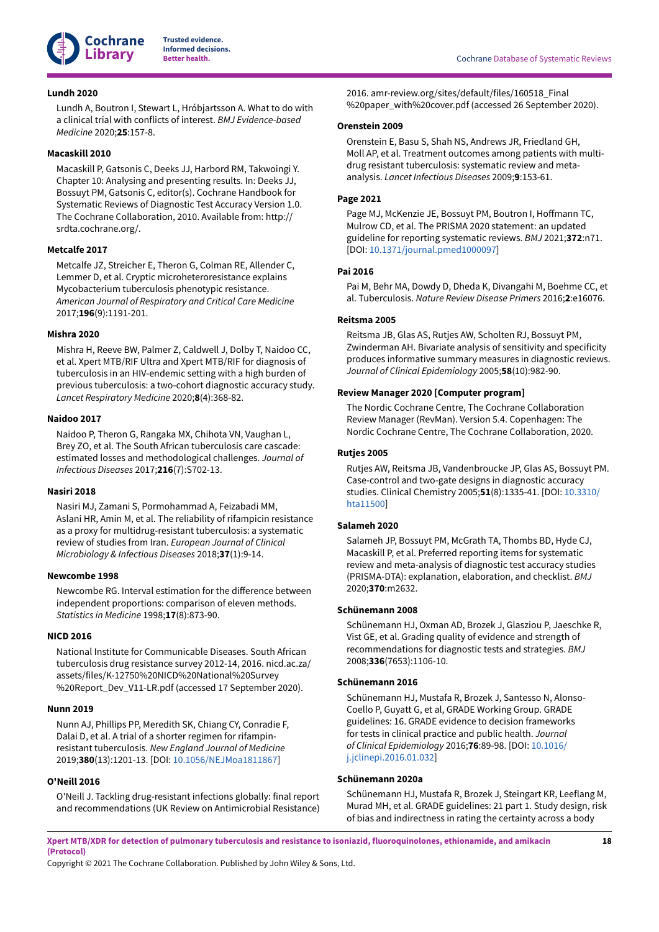

### <span id="page-19-12"></span>**Lundh 2020**

Lundh A, Boutron I, Stewart L, Hróbjartsson A. What to do with a clinical trial with conflicts of interest. *BMJ Evidence-based Medicine* 2020;**25**:157-8.

### <span id="page-19-14"></span>**Macaskill 2010**

Macaskill P, Gatsonis C, Deeks JJ, Harbord RM, Takwoingi Y. Chapter 10: Analysing and presenting results. In: Deeks JJ, Bossuyt PM, Gatsonis C, editor(s). Cochrane Handbook for Systematic Reviews of Diagnostic Test Accuracy Version 1.0. The Cochrane Collaboration, 2010. Available from: http:// srdta.cochrane.org/.

### <span id="page-19-9"></span>**Metcalfe 2017**

Metcalfe JZ, Streicher E, Theron G, Colman RE, Allender C, Lemmer D, et al. Cryptic microheteroresistance explains Mycobacterium tuberculosis phenotypic resistance. *American Journal of Respiratory and Critical Care Medicine* 2017;**196**(9):1191-201.

### <span id="page-19-0"></span>**Mishra 2020**

Mishra H, Reeve BW, Palmer Z, Caldwell J, Dolby T, Naidoo CC, et al. Xpert MTB/RIF Ultra and Xpert MTB/RIF for diagnosis of tuberculosis in an HIV-endemic setting with a high burden of previous tuberculosis: a two-cohort diagnostic accuracy study. *Lancet Respiratory Medicine* 2020;**8**(4):368-82.

### <span id="page-19-1"></span>**Naidoo 2017**

Naidoo P, Theron G, Rangaka MX, Chihota VN, Vaughan L, Brey ZO, et al. The South African tuberculosis care cascade: estimated losses and methodological challenges. *Journal of Infectious Diseases* 2017;**216**(7):S702-13.

### <span id="page-19-3"></span>**Nasiri 2018**

Nasiri MJ, Zamani S, Pormohammad A, Feizabadi MM, Aslani HR, Amin M, et al. The reliability of rifampicin resistance as a proxy for multidrug-resistant tuberculosis: a systematic review of studies from Iran. *European Journal of Clinical Microbiology & Infectious Diseases* 2018;**37**(1):9-14.

### <span id="page-19-16"></span>**Newcombe 1998**

Newcombe RG. Interval estimation for the difference between independent proportions: comparison of eleven methods. *Statistics in Medicine* 1998;**17**(8):873-90.

### <span id="page-19-4"></span>**NICD 2016**

National Institute for Communicable Diseases. South African tuberculosis drug resistance survey 2012-14, 2016. nicd.ac.za/ assets/files/K-12750%20NICD%20National%20Survey %20Report\_Dev\_V11-LR.pdf (accessed 17 September 2020).

### <span id="page-19-6"></span>**Nunn 2019**

Nunn AJ, Phillips PP, Meredith SK, Chiang CY, Conradie F, Dalai D, et al. A trial of a shorter regimen for rifampinresistant tuberculosis. *New England Journal of Medicine* 2019;**380**(13):1201-13. [DOI: [10.1056/NEJMoa1811867\]](https://doi.org/10.1056%2FNEJMoa1811867)

### <span id="page-19-2"></span>**O'Neill 2016**

O'Neill J. Tackling drug-resistant infections globally: final report and recommendations (UK Review on Antimicrobial Resistance)

**Beta Cochrane Database of Systematic Reviews** 

2016. amr-review.org/sites/default/files/160518\_Final %20paper\_with%20cover.pdf (accessed 26 September 2020).

### <span id="page-19-5"></span>**Orenstein 2009**

Orenstein E, Basu S, Shah NS, Andrews JR, Friedland GH, Moll AP, et al. Treatment outcomes among patients with multidrug resistant tuberculosis: systematic review and metaanalysis. *Lancet Infectious Diseases* 2009;**9**:153-61.

### <span id="page-19-10"></span>**Page 2021**

Page MJ, McKenzie JE, Bossuyt PM, Boutron I, Hoffmann TC, Mulrow CD, et al. The PRISMA 2020 statement: an updated guideline for reporting systematic reviews. *BMJ* 2021;**372**:n71. [DOI: [10.1371/journal.pmed1000097](https://doi.org/10.1371%2Fjournal.pmed1000097)]

### <span id="page-19-7"></span>**Pai 2016**

Pai M, Behr MA, Dowdy D, Dheda K, Divangahi M, Boehme CC, et al. Tuberculosis. *Nature Review Disease Primers* 2016;**2**:e16076.

### <span id="page-19-15"></span>**Reitsma 2005**

Reitsma JB, Glas AS, Rutjes AW, Scholten RJ, Bossuyt PM, Zwinderman AH. Bivariate analysis of sensitivity and specificity produces informative summary measures in diagnostic reviews. *Journal of Clinical Epidemiology* 2005;**58**(10):982-90.

### <span id="page-19-13"></span>**Review Manager 2020 [Computer program]**

The Nordic Cochrane Centre, The Cochrane Collaboration Review Manager (RevMan). Version 5.4. Copenhagen: The Nordic Cochrane Centre, The Cochrane Collaboration, 2020.

### <span id="page-19-8"></span>**Rutjes 2005**

Rutjes AW, Reitsma JB, Vandenbroucke JP, Glas AS, Bossuyt PM. Case-control and two-gate designs in diagnostic accuracy studies. Clinical Chemistry 2005;**51**(8):1335-41. [DOI: [10.3310/](https://doi.org/10.3310%2Fhta11500) [hta11500\]](https://doi.org/10.3310%2Fhta11500)

### <span id="page-19-11"></span>**Salameh 2020**

Salameh JP, Bossuyt PM, McGrath TA, Thombs BD, Hyde CJ, Macaskill P, et al. Preferred reporting items for systematic review and meta-analysis of diagnostic test accuracy studies (PRISMA-DTA): explanation, elaboration, and checklist. *BMJ* 2020;**370**:m2632.

### <span id="page-19-17"></span>**Schünemann 2008**

Schünemann HJ, Oxman AD, Brozek J, Glasziou P, Jaeschke R, Vist GE, et al. Grading quality of evidence and strength of recommendations for diagnostic tests and strategies. *BMJ* 2008;**336**(7653):1106-10.

### <span id="page-19-18"></span>**Schünemann 2016**

Schünemann HJ, Mustafa R, Brozek J, Santesso N, Alonso-Coello P, Guyatt G, et al, GRADE Working Group. GRADE guidelines: 16. GRADE evidence to decision frameworks for tests in clinical practice and public health. *Journal of Clinical Epidemiology* 2016;**76**:89-98. [DOI: [10.1016/](https://doi.org/10.1016%2Fj.jclinepi.2016.01.032) [j.jclinepi.2016.01.032](https://doi.org/10.1016%2Fj.jclinepi.2016.01.032)]

### <span id="page-19-19"></span>**Schünemann 2020a**

Schünemann HJ, Mustafa R, Brozek J, Steingart KR, Leeflang M, Murad MH, et al. GRADE guidelines: 21 part 1. Study design, risk of bias and indirectness in rating the certainty across a body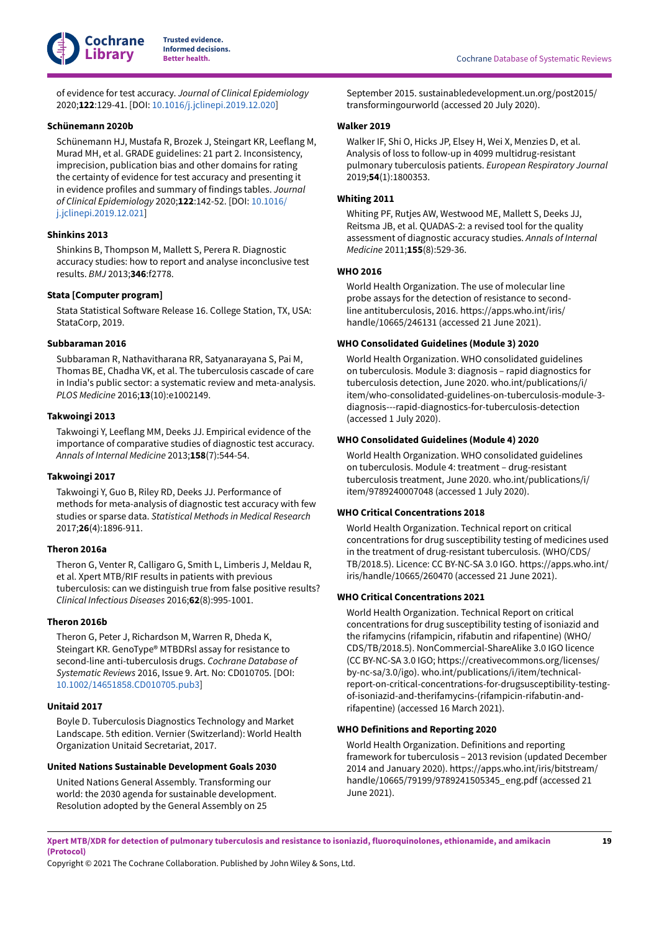

of evidence for test accuracy. *Journal of Clinical Epidemiology* 2020;**122**:129-41. [DOI: [10.1016/j.jclinepi.2019.12.020\]](https://doi.org/10.1016%2Fj.jclinepi.2019.12.020)

#### <span id="page-20-17"></span>**Schünemann 2020b**

Schünemann HJ, Mustafa R, Brozek J, Steingart KR, Leeflang M, Murad MH, et al. GRADE guidelines: 21 part 2. Inconsistency, imprecision, publication bias and other domains for rating the certainty of evidence for test accuracy and presenting it in evidence profiles and summary of findings tables. *Journal of Clinical Epidemiology* 2020;**122**:142-52. [DOI: [10.1016/](https://doi.org/10.1016%2Fj.jclinepi.2019.12.021) [j.jclinepi.2019.12.021](https://doi.org/10.1016%2Fj.jclinepi.2019.12.021)]

### <span id="page-20-16"></span>**Shinkins 2013**

Shinkins B, Thompson M, Mallett S, Perera R. Diagnostic accuracy studies: how to report and analyse inconclusive test results. *BMJ* 2013;**346**:f2778.

### <span id="page-20-13"></span>**Stata [Computer program]**

Stata Statistical Software Release 16. College Station, TX, USA: StataCorp, 2019.

### <span id="page-20-3"></span>**Subbaraman 2016**

Subbaraman R, Nathavitharana RR, Satyanarayana S, Pai M, Thomas BE, Chadha VK, et al. The tuberculosis cascade of care in India's public sector: a systematic review and meta-analysis. *PLOS Medicine* 2016;**13**(10):e1002149.

### <span id="page-20-15"></span>**Takwoingi 2013**

Takwoingi Y, Leeflang MM, Deeks JJ. Empirical evidence of the importance of comparative studies of diagnostic test accuracy. *Annals of Internal Medicine* 2013;**158**(7):544-54.

#### <span id="page-20-14"></span>**Takwoingi 2017**

Takwoingi Y, Guo B, Riley RD, Deeks JJ. Performance of methods for meta-analysis of diagnostic test accuracy with few studies or sparse data. *Statistical Methods in Medical Research* 2017;**26**(4):1896-911.

### <span id="page-20-2"></span>**Theron 2016a**

Theron G, Venter R, Calligaro G, Smith L, Limberis J, Meldau R, et al. Xpert MTB/RIF results in patients with previous tuberculosis: can we distinguish true from false positive results? *Clinical Infectious Diseases* 2016;**62**(8):995-1001.

### <span id="page-20-11"></span>**Theron 2016b**

Theron G, Peter J, Richardson M, Warren R, Dheda K, Steingart KR. GenoType® MTBDRsl assay for resistance to second-line anti-tuberculosis drugs. *Cochrane Database of Systematic Reviews* 2016, Issue 9. Art. No: CD010705. [DOI: [10.1002/14651858.CD010705.pub3](https://doi.org/10.1002%2F14651858.CD010705.pub3)]

### <span id="page-20-8"></span>**Unitaid 2017**

Boyle D. Tuberculosis Diagnostics Technology and Market Landscape. 5th edition. Vernier (Switzerland): World Health Organization Unitaid Secretariat, 2017.

### <span id="page-20-4"></span>**United Nations Sustainable Development Goals 2030**

United Nations General Assembly. Transforming our world: the 2030 agenda for sustainable development. Resolution adopted by the General Assembly on 25

September 2015. sustainabledevelopment.un.org/post2015/ transformingourworld (accessed 20 July 2020).

### <span id="page-20-6"></span>**Walker 2019**

Walker IF, Shi O, Hicks JP, Elsey H, Wei X, Menzies D, et al. Analysis of loss to follow-up in 4099 multidrug-resistant pulmonary tuberculosis patients. *European Respiratory Journal* 2019;**54**(1):1800353.

### <span id="page-20-12"></span>**Whiting 2011**

Whiting PF, Rutjes AW, Westwood ME, Mallett S, Deeks JJ, Reitsma JB, et al. QUADAS-2: a revised tool for the quality assessment of diagnostic accuracy studies. *Annals of Internal Medicine* 2011;**155**(8):529-36.

### <span id="page-20-9"></span>**WHO 2016**

World Health Organization. The use of molecular line probe assays for the detection of resistance to secondline antituberculosis, 2016. https://apps.who.int/iris/ handle/10665/246131 (accessed 21 June 2021).

#### <span id="page-20-7"></span>**WHO Consolidated Guidelines (Module 3) 2020**

World Health Organization. WHO consolidated guidelines on tuberculosis. Module 3: diagnosis – rapid diagnostics for tuberculosis detection, June 2020. who.int/publications/i/ item/who-consolidated-guidelines-on-tuberculosis-module-3 diagnosis---rapid-diagnostics-for-tuberculosis-detection (accessed 1 July 2020).

### <span id="page-20-5"></span>**WHO Consolidated Guidelines (Module 4) 2020**

World Health Organization. WHO consolidated guidelines on tuberculosis. Module 4: treatment – drug-resistant tuberculosis treatment, June 2020. who.int/publications/i/ item/9789240007048 (accessed 1 July 2020).

### <span id="page-20-0"></span>**WHO Critical Concentrations 2018**

World Health Organization. Technical report on critical concentrations for drug susceptibility testing of medicines used in the treatment of drug-resistant tuberculosis. (WHO/CDS/ TB/2018.5). Licence: CC BY-NC-SA 3.0 IGO. https://apps.who.int/ iris/handle/10665/260470 (accessed 21 June 2021).

#### <span id="page-20-1"></span>**WHO Critical Concentrations 2021**

World Health Organization. Technical Report on critical concentrations for drug susceptibility testing of isoniazid and the rifamycins (rifampicin, rifabutin and rifapentine) (WHO/ CDS/TB/2018.5). NonCommercial-ShareAlike 3.0 IGO licence (CC BY-NC-SA 3.0 IGO; https://creativecommons.org/licenses/ by-nc-sa/3.0/igo). who.int/publications/i/item/technicalreport-on-critical-concentrations-for-drugsusceptibility-testingof-isoniazid-and-therifamycins-(rifampicin-rifabutin-andrifapentine) (accessed 16 March 2021).

#### <span id="page-20-10"></span>**WHO Definitions and Reporting 2020**

World Health Organization. Definitions and reporting framework for tuberculosis – 2013 revision (updated December 2014 and January 2020). https://apps.who.int/iris/bitstream/ handle/10665/79199/9789241505345\_eng.pdf (accessed 21 June 2021).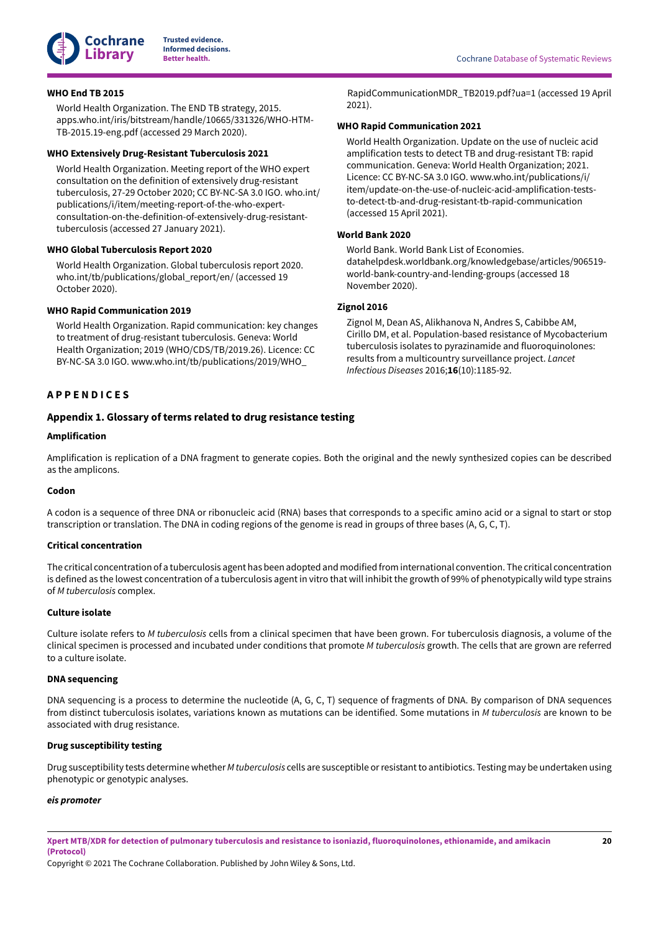

### <span id="page-21-3"></span>**WHO End TB 2015**

World Health Organization. The END TB strategy, 2015. apps.who.int/iris/bitstream/handle/10665/331326/WHO-HTM-TB-2015.19-eng.pdf (accessed 29 March 2020).

#### <span id="page-21-4"></span>**WHO Extensively Drug-Resistant Tuberculosis 2021**

World Health Organization. Meeting report of the WHO expert consultation on the definition of extensively drug-resistant tuberculosis, 27-29 October 2020; CC BY-NC-SA 3.0 IGO. who.int/ publications/i/item/meeting-report-of-the-who-expertconsultation-on-the-definition-of-extensively-drug-resistanttuberculosis (accessed 27 January 2021).

#### <span id="page-21-2"></span>**WHO Global Tuberculosis Report 2020**

World Health Organization. Global tuberculosis report 2020. who.int/tb/publications/global\_report/en/ (accessed 19 October 2020).

#### <span id="page-21-5"></span>**WHO Rapid Communication 2019**

World Health Organization. Rapid communication: key changes to treatment of drug-resistant tuberculosis. Geneva: World Health Organization; 2019 (WHO/CDS/TB/2019.26). Licence: CC BY-NC-SA 3.0 IGO. www.who.int/tb/publications/2019/WHO\_

### <span id="page-21-0"></span>**A P P E N D I C E S**

### <span id="page-21-1"></span>**Appendix 1. Glossary of terms related to drug resistance testing**

#### **Amplification**

Amplification is replication of a DNA fragment to generate copies. Both the original and the newly synthesized copies can be described as the amplicons.

### **Codon**

A codon is a sequence of three DNA or ribonucleic acid (RNA) bases that corresponds to a specific amino acid or a signal to start or stop transcription or translation. The DNA in coding regions of the genome is read in groups of three bases (A, G, C, T).

#### **Critical concentration**

The critical concentration of a tuberculosis agent has been adopted and modified from international convention. The critical concentration is defined as the lowest concentration of a tuberculosis agent in vitro that will inhibit the growth of 99% of phenotypically wild type strains of *M tuberculosis* complex.

### **Culture isolate**

Culture isolate refers to *M tuberculosis* cells from a clinical specimen that have been grown. For tuberculosis diagnosis, a volume of the clinical specimen is processed and incubated under conditions that promote *M tuberculosis* growth. The cells that are grown are referred to a culture isolate.

#### **DNA sequencing**

DNA sequencing is a process to determine the nucleotide (A, G, C, T) sequence of fragments of DNA. By comparison of DNA sequences from distinct tuberculosis isolates, variations known as mutations can be identified. Some mutations in *M tuberculosis* are known to be associated with drug resistance.

### **Drug susceptibility testing**

Drug susceptibility tests determine whether *M tuberculosis* cells are susceptible orresistantto antibiotics. Testing may be undertaken using phenotypic or genotypic analyses.

#### *eis promoter*

Xpert MTB/XDR for detection of pulmonary tuberculosis and resistance to isoniazid, fluoroquinolones, ethionamide, and amikacin **(Protocol)**

Copyright © 2021 The Cochrane Collaboration. Published by John Wiley & Sons, Ltd.

#### <span id="page-21-6"></span>**WHO Rapid Communication 2021**

World Health Organization. Update on the use of nucleic acid amplification tests to detect TB and drug-resistant TB: rapid communication. Geneva: World Health Organization; 2021. Licence: CC BY-NC-SA 3.0 IGO. www.who.int/publications/i/ item/update-on-the-use-of-nucleic-acid-amplification-teststo-detect-tb-and-drug-resistant-tb-rapid-communication (accessed 15 April 2021).

### <span id="page-21-8"></span>**World Bank 2020**

World Bank. World Bank List of Economies. datahelpdesk.worldbank.org/knowledgebase/articles/906519 world-bank-country-and-lending-groups (accessed 18 November 2020).

### <span id="page-21-7"></span>**Zignol 2016**

Zignol M, Dean AS, Alikhanova N, Andres S, Cabibbe AM, Cirillo DM, et al. Population-based resistance of Mycobacterium tuberculosis isolates to pyrazinamide and fluoroquinolones: results from a multicountry surveillance project. *Lancet Infectious Diseases* 2016;**16**(10):1185-92.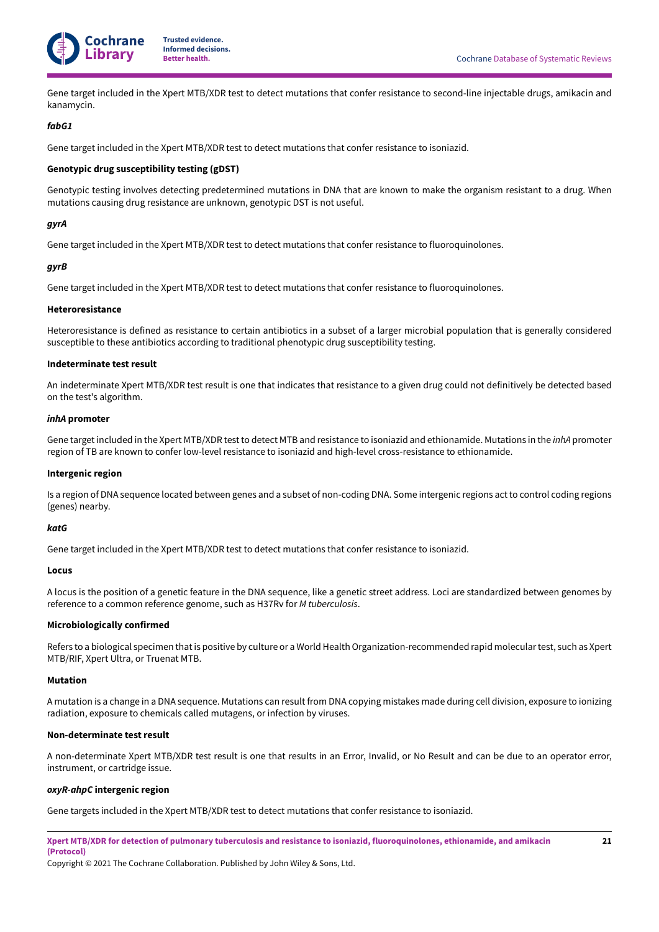

Gene target included in the Xpert MTB/XDR test to detect mutations that confer resistance to second-line injectable drugs, amikacin and kanamycin.

### *fabG1*

Gene target included in the Xpert MTB/XDR test to detect mutations that confer resistance to isoniazid.

### **Genotypic drug susceptibility testing (gDST)**

Genotypic testing involves detecting predetermined mutations in DNA that are known to make the organism resistant to a drug. When mutations causing drug resistance are unknown, genotypic DST is not useful.

### *gyrA*

Gene target included in the Xpert MTB/XDR test to detect mutations that confer resistance to fluoroquinolones.

### *gyrB*

Gene target included in the Xpert MTB/XDR test to detect mutations that confer resistance to fluoroquinolones.

#### **Heteroresistance**

Heteroresistance is defined as resistance to certain antibiotics in a subset of a larger microbial population that is generally considered susceptible to these antibiotics according to traditional phenotypic drug susceptibility testing.

### **Indeterminate test result**

An indeterminate Xpert MTB/XDR test result is one that indicates that resistance to a given drug could not definitively be detected based on the test's algorithm.

### *inhA* **promoter**

Gene targetincluded in the Xpert MTB/XDR testto detect MTB and resistance to isoniazid and ethionamide. Mutations in the *inhA* promoter region of TB are known to confer low-level resistance to isoniazid and high-level cross-resistance to ethionamide.

#### **Intergenic region**

Is a region of DNA sequence located between genes and a subset of non-coding DNA. Some intergenic regions act to control coding regions (genes) nearby.

### *katG*

Gene target included in the Xpert MTB/XDR test to detect mutations that confer resistance to isoniazid.

#### **Locus**

A locus is the position of a genetic feature in the DNA sequence, like a genetic street address. Loci are standardized between genomes by reference to a common reference genome, such as H37Rv for *M tuberculosis*.

### **Microbiologically confirmed**

Refers to a biological specimen that is positive by culture or a World Health Organization-recommended rapid molecular test, such as Xpert MTB/RIF, Xpert Ultra, or Truenat MTB.

#### **Mutation**

A mutation is a change in a DNA sequence. Mutations can result from DNA copying mistakes made during cell division, exposure to ionizing radiation, exposure to chemicals called mutagens, or infection by viruses.

#### **Non-determinate test result**

A non-determinate Xpert MTB/XDR test result is one that results in an Error, Invalid, or No Result and can be due to an operator error, instrument, or cartridge issue.

#### *oxyR-ahpC* **intergenic region**

Gene targets included in the Xpert MTB/XDR test to detect mutations that confer resistance to isoniazid.

Xpert MTB/XDR for detection of pulmonary tuberculosis and resistance to isoniazid, fluoroquinolones, ethionamide, and amikacin **(Protocol)**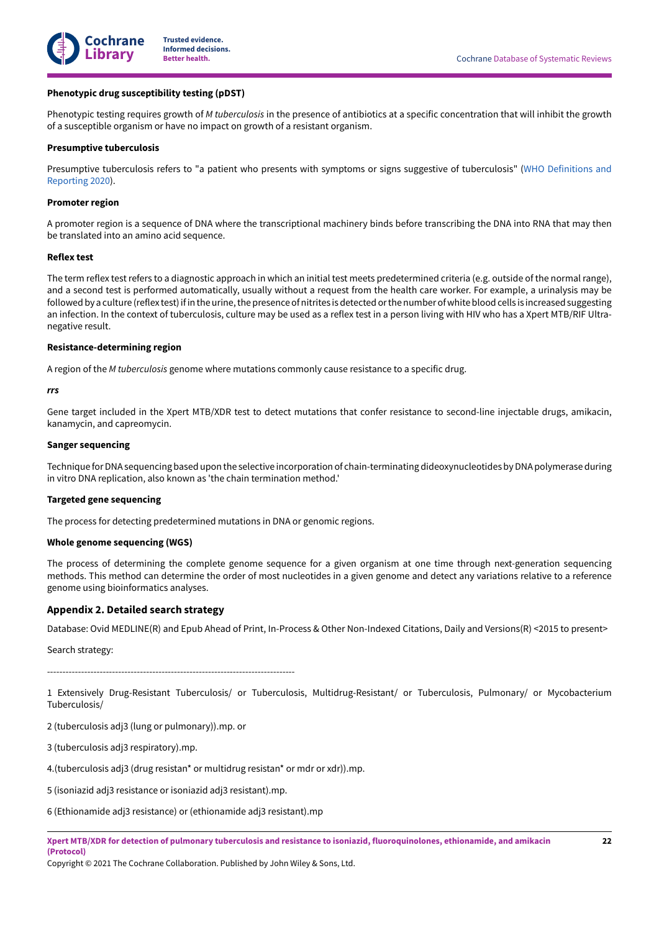

### **Phenotypic drug susceptibility testing (pDST)**

Phenotypic testing requires growth of *M tuberculosis* in the presence of antibiotics at a specific concentration that will inhibit the growth of a susceptible organism or have no impact on growth of a resistant organism.

### **Presumptive tuberculosis**

Presumptive tuberculosis refers to "a patient who presents with symptoms or signs suggestive of tuberculosis" [\(WHO Definitions and](#page-20-10) [Reporting](#page-20-10) 2020).

### **Promoter region**

A promoter region is a sequence of DNA where the transcriptional machinery binds before transcribing the DNA into RNA that may then be translated into an amino acid sequence.

#### **Reflex test**

The term reflex test refers to a diagnostic approach in which an initial test meets predetermined criteria (e.g. outside of the normal range), and a second test is performed automatically, usually without a request from the health care worker. For example, a urinalysis may be followed by a culture (reflex test) if in the urine, the presence of nitrites is detected or the number of white blood cells is increased suggesting an infection. In the context of tuberculosis, culture may be used as a reflex test in a person living with HIV who has a Xpert MTB/RIF Ultranegative result.

#### **Resistance-determining region**

A region of the *M tuberculosis* genome where mutations commonly cause resistance to a specific drug.

#### *rrs*

Gene target included in the Xpert MTB/XDR test to detect mutations that confer resistance to second-line injectable drugs, amikacin, kanamycin, and capreomycin.

#### **Sanger sequencing**

Technique for DNA sequencing based upon the selective incorporation of chain-terminating dideoxynucleotides by DNA polymerase during in vitro DNA replication, also known as 'the chain termination method.'

#### **Targeted gene sequencing**

The process for detecting predetermined mutations in DNA or genomic regions.

#### **Whole genome sequencing (WGS)**

The process of determining the complete genome sequence for a given organism at one time through next-generation sequencing methods. This method can determine the order of most nucleotides in a given genome and detect any variations relative to a reference genome using bioinformatics analyses.

### <span id="page-23-0"></span>**Appendix 2. Detailed search strategy**

Database: Ovid MEDLINE(R) and Epub Ahead of Print, In-Process & Other Non-Indexed Citations, Daily and Versions(R) <2015 to present>

Search strategy:

--------------------------------------------------------------------------------

1 Extensively Drug-Resistant Tuberculosis/ or Tuberculosis, Multidrug-Resistant/ or Tuberculosis, Pulmonary/ or Mycobacterium Tuberculosis/

2 (tuberculosis adj3 (lung or pulmonary)).mp. or

3 (tuberculosis adj3 respiratory).mp.

4.(tuberculosis adj3 (drug resistan\* or multidrug resistan\* or mdr or xdr)).mp.

5 (isoniazid adj3 resistance or isoniazid adj3 resistant).mp.

6 (Ethionamide adj3 resistance) or (ethionamide adj3 resistant).mp

Xpert MTB/XDR for detection of pulmonary tuberculosis and resistance to isoniazid, fluoroquinolones, ethionamide, and amikacin **(Protocol)**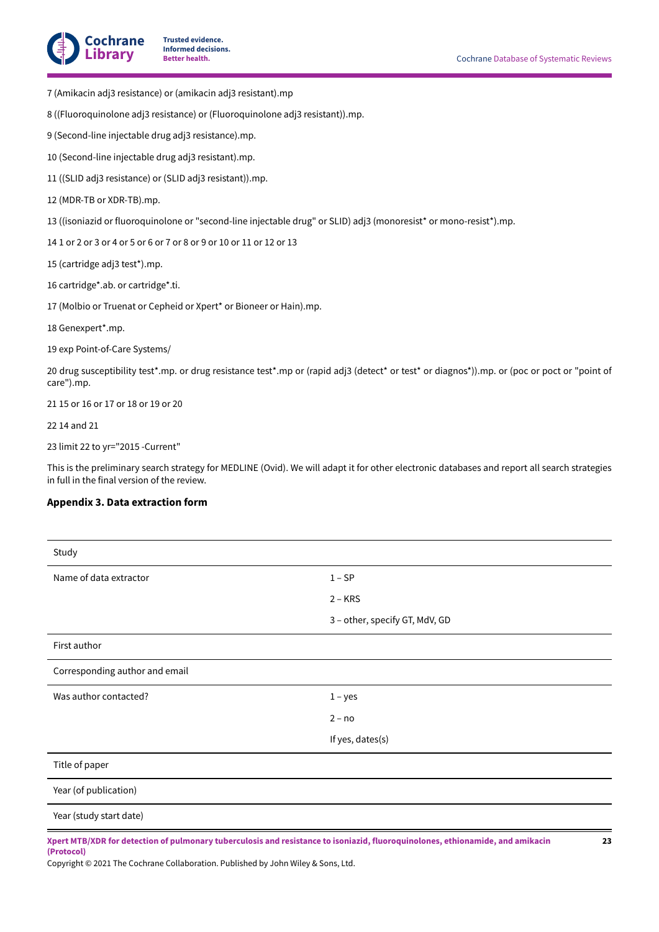

- 7 (Amikacin adj3 resistance) or (amikacin adj3 resistant).mp
- 8 ((Fluoroquinolone adj3 resistance) or (Fluoroquinolone adj3 resistant)).mp.
- 9 (Second-line injectable drug adj3 resistance).mp.
- 10 (Second-line injectable drug adj3 resistant).mp.
- 11 ((SLID adj3 resistance) or (SLID adj3 resistant)).mp.
- 12 (MDR-TB or XDR-TB).mp.
- 13 ((isoniazid or fluoroquinolone or "second-line injectable drug" or SLID) adj3 (monoresist\* or mono-resist\*).mp.
- 14 1 or 2 or 3 or 4 or 5 or 6 or 7 or 8 or 9 or 10 or 11 or 12 or 13
- 15 (cartridge adj3 test\*).mp.
- 16 cartridge\*.ab. or cartridge\*.ti.
- 17 (Molbio or Truenat or Cepheid or Xpert\* or Bioneer or Hain).mp.
- 18 Genexpert\*.mp.
- 19 exp Point-of-Care Systems/
- 20 drug susceptibility test\*.mp. or drug resistance test\*.mp or (rapid adj3 (detect\* or test\* or diagnos\*)).mp. or (poc or poct or "point of care").mp.
- 21 15 or 16 or 17 or 18 or 19 or 20
- 22 14 and 21
- 23 limit 22 to yr="2015 -Current"

This is the preliminary search strategy for MEDLINE (Ovid). We will adapt it for other electronic databases and report all search strategies in full in the final version of the review.

### <span id="page-24-0"></span>**Appendix 3. Data extraction form**

| Study                          |                                                                                                                                      |
|--------------------------------|--------------------------------------------------------------------------------------------------------------------------------------|
| Name of data extractor         | $1 - SP$                                                                                                                             |
|                                | $2 - KRS$                                                                                                                            |
|                                | 3 - other, specify GT, MdV, GD                                                                                                       |
| First author                   |                                                                                                                                      |
| Corresponding author and email |                                                                                                                                      |
| Was author contacted?          | $1 - yes$                                                                                                                            |
|                                | $2 - no$                                                                                                                             |
|                                | If yes, dates(s)                                                                                                                     |
| Title of paper                 |                                                                                                                                      |
| Year (of publication)          |                                                                                                                                      |
| Year (study start date)        |                                                                                                                                      |
|                                | Xpert MTB/XDR for detection of pulmonary tuberculosis and resistance to isoniazid, fluoroquinolones, ethionamide, and amikacin<br>23 |

Xpert MTB/XDR for detection of pulmonary tuberculosis and resistance to isoniazid, fluoroquinolones, ethionamide, and amikacin **(Protocol)**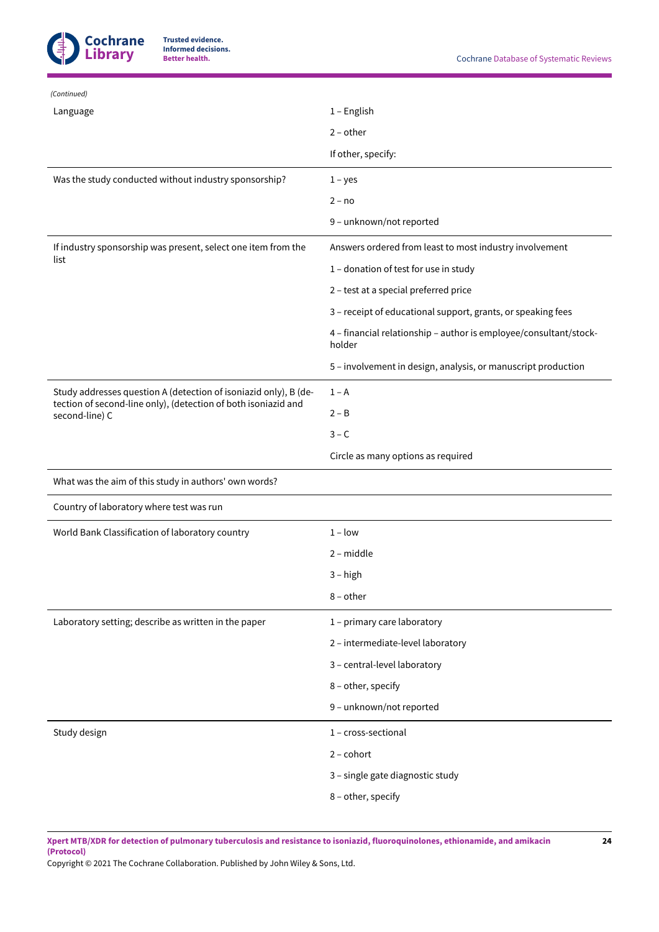

| (Continued)                                                                      |                                                                             |
|----------------------------------------------------------------------------------|-----------------------------------------------------------------------------|
| Language                                                                         | $1 -$ English                                                               |
|                                                                                  | $2$ – other                                                                 |
|                                                                                  | If other, specify:                                                          |
| Was the study conducted without industry sponsorship?                            | $1 - yes$                                                                   |
|                                                                                  | $2 - no$                                                                    |
|                                                                                  | 9 - unknown/not reported                                                    |
| If industry sponsorship was present, select one item from the<br>list            | Answers ordered from least to most industry involvement                     |
|                                                                                  | 1 - donation of test for use in study                                       |
|                                                                                  | 2 - test at a special preferred price                                       |
|                                                                                  | 3 - receipt of educational support, grants, or speaking fees                |
|                                                                                  | 4 - financial relationship - author is employee/consultant/stock-<br>holder |
|                                                                                  | 5 - involvement in design, analysis, or manuscript production               |
| Study addresses question A (detection of isoniazid only), B (de-                 | $1 - A$                                                                     |
| tection of second-line only), (detection of both isoniazid and<br>second-line) C | $2 - B$                                                                     |
|                                                                                  | $3 - C$                                                                     |
|                                                                                  | Circle as many options as required                                          |
| What was the aim of this study in authors' own words?                            |                                                                             |
| Country of laboratory where test was run                                         |                                                                             |
|                                                                                  |                                                                             |
| World Bank Classification of laboratory country                                  | $1 - low$                                                                   |
|                                                                                  | $2 - middle$                                                                |
|                                                                                  | $3 - high$                                                                  |
|                                                                                  | $8$ – other                                                                 |
| Laboratory setting; describe as written in the paper                             | 1 - primary care laboratory                                                 |
|                                                                                  | 2 - intermediate-level laboratory                                           |
|                                                                                  | 3 - central-level laboratory                                                |
|                                                                                  | 8 - other, specify                                                          |
|                                                                                  | 9 - unknown/not reported                                                    |
| Study design                                                                     | 1 - cross-sectional                                                         |
|                                                                                  | $2$ – cohort                                                                |
|                                                                                  | 3 - single gate diagnostic study                                            |

Xpert MTB/XDR for detection of pulmonary tuberculosis and resistance to isoniazid, fluoroquinolones, ethionamide, and amikacin **(Protocol)**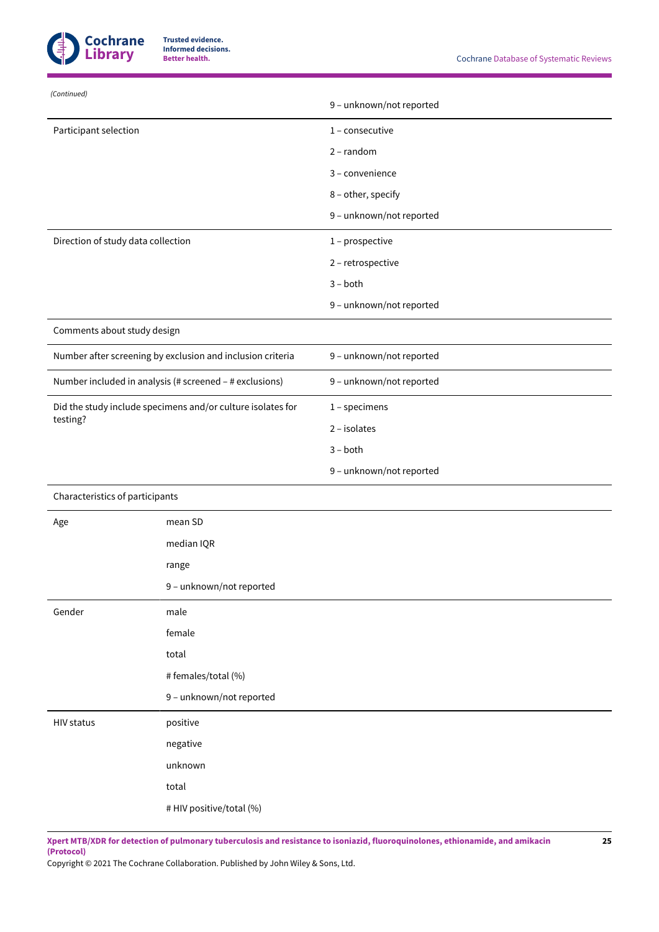

| (Continued)                        |                                                             |                          |
|------------------------------------|-------------------------------------------------------------|--------------------------|
|                                    |                                                             | 9 - unknown/not reported |
| Participant selection              |                                                             | $1$ – consecutive        |
|                                    |                                                             | $2$ – random             |
|                                    |                                                             | 3 - convenience          |
|                                    |                                                             | 8 - other, specify       |
|                                    |                                                             | 9 - unknown/not reported |
| Direction of study data collection |                                                             | 1 - prospective          |
|                                    |                                                             | 2 - retrospective        |
|                                    |                                                             | $3 - both$               |
|                                    |                                                             | 9 - unknown/not reported |
| Comments about study design        |                                                             |                          |
|                                    | Number after screening by exclusion and inclusion criteria  | 9 - unknown/not reported |
|                                    | Number included in analysis (# screened - # exclusions)     | 9 - unknown/not reported |
|                                    | Did the study include specimens and/or culture isolates for | $1$ – specimens          |
| testing?                           |                                                             | $2$ – isolates           |
|                                    |                                                             | $3 - both$               |
|                                    |                                                             | 9 - unknown/not reported |
| Characteristics of participants    |                                                             |                          |
| Age                                | mean SD                                                     |                          |
|                                    | median IQR                                                  |                          |
|                                    | range                                                       |                          |
|                                    | 9 - unknown/not reported                                    |                          |
| Gender                             | male                                                        |                          |
|                                    | female                                                      |                          |
|                                    | total                                                       |                          |
|                                    | # females/total (%)                                         |                          |
|                                    | 9 - unknown/not reported                                    |                          |
| <b>HIV status</b>                  | positive                                                    |                          |
|                                    | negative                                                    |                          |
|                                    | unknown                                                     |                          |
|                                    | total                                                       |                          |
|                                    | # HIV positive/total (%)                                    |                          |

Xpert MTB/XDR for detection of pulmonary tuberculosis and resistance to isoniazid, fluoroquinolones, ethionamide, and amikacin **(Protocol)**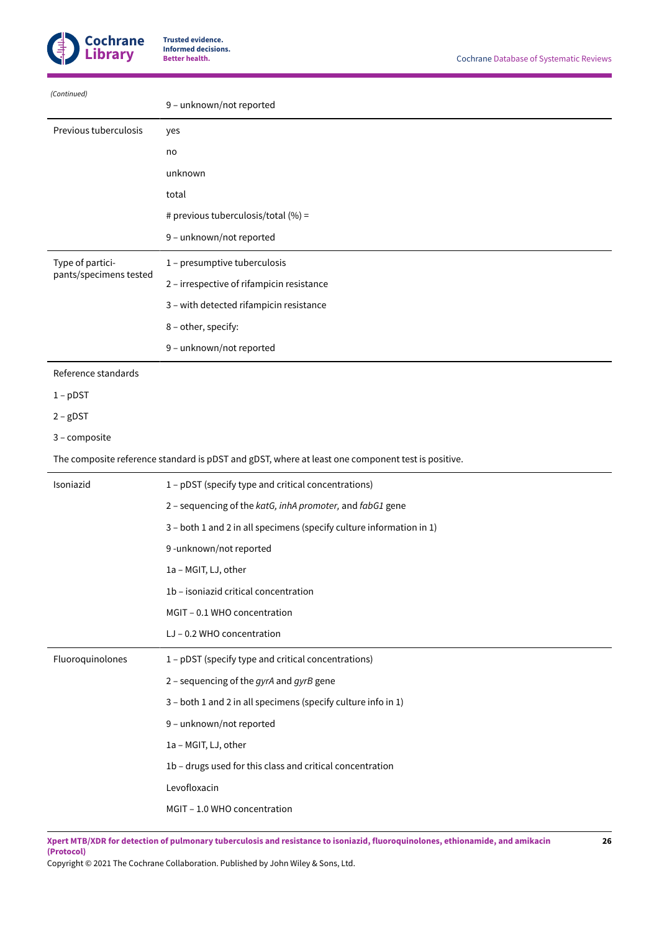

| (Continued)            | 9 - unknown/not reported                  |
|------------------------|-------------------------------------------|
| Previous tuberculosis  | yes                                       |
|                        | no                                        |
|                        | unknown                                   |
|                        | total                                     |
|                        | # previous tuberculosis/total (%) =       |
|                        | 9 - unknown/not reported                  |
| Type of partici-       | 1 - presumptive tuberculosis              |
| pants/specimens tested | 2 – irrespective of rifampicin resistance |
|                        | 3 - with detected rifampicin resistance   |
|                        | 8 - other, specify:                       |
|                        | 9 - unknown/not reported                  |

### Reference standards

1 – pDST

2 – gDST

```
3 – composite
```
The composite reference standard is pDST and gDST, where at least one component test is positive.

| Isoniazid        | 1 - pDST (specify type and critical concentrations)                  |
|------------------|----------------------------------------------------------------------|
|                  | 2 - sequencing of the katG, inhA promoter, and fabG1 gene            |
|                  | 3 - both 1 and 2 in all specimens (specify culture information in 1) |
|                  | 9-unknown/not reported                                               |
|                  | 1a - MGIT, LJ, other                                                 |
|                  | 1b - isoniazid critical concentration                                |
|                  | MGIT - 0.1 WHO concentration                                         |
|                  | LJ - 0.2 WHO concentration                                           |
| Fluoroquinolones | 1 - pDST (specify type and critical concentrations)                  |
|                  | 2 - sequencing of the gyrA and gyrB gene                             |
|                  | 3 - both 1 and 2 in all specimens (specify culture info in 1)        |
|                  | 9 - unknown/not reported                                             |
|                  | 1a - MGIT, LJ, other                                                 |
|                  | 1b - drugs used for this class and critical concentration            |
|                  | Levofloxacin                                                         |
|                  | MGIT - 1.0 WHO concentration                                         |
|                  |                                                                      |

Xpert MTB/XDR for detection of pulmonary tuberculosis and resistance to isoniazid, fluoroquinolones, ethionamide, and amikacin **(Protocol)**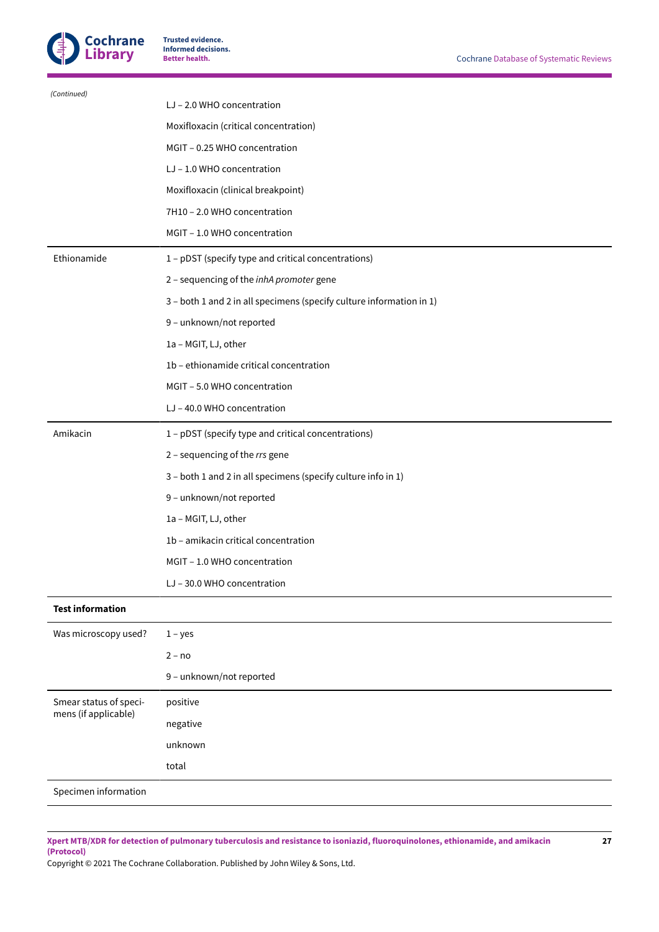

| (Continued)             | LJ - 2.0 WHO concentration                                           |
|-------------------------|----------------------------------------------------------------------|
|                         | Moxifloxacin (critical concentration)                                |
|                         | MGIT - 0.25 WHO concentration                                        |
|                         | LJ - 1.0 WHO concentration                                           |
|                         | Moxifloxacin (clinical breakpoint)                                   |
|                         | 7H10 - 2.0 WHO concentration                                         |
|                         | MGIT - 1.0 WHO concentration                                         |
| Ethionamide             | 1 - pDST (specify type and critical concentrations)                  |
|                         | 2 - sequencing of the inhA promoter gene                             |
|                         | 3 - both 1 and 2 in all specimens (specify culture information in 1) |
|                         | 9 - unknown/not reported                                             |
|                         | 1a - MGIT, LJ, other                                                 |
|                         | 1b - ethionamide critical concentration                              |
|                         | MGIT - 5.0 WHO concentration                                         |
|                         | LJ-40.0 WHO concentration                                            |
| Amikacin                | 1 - pDST (specify type and critical concentrations)                  |
|                         | 2 - sequencing of the rrs gene                                       |
|                         | 3 - both 1 and 2 in all specimens (specify culture info in 1)        |
|                         | 9 - unknown/not reported                                             |
|                         | 1a - MGIT, LJ, other                                                 |
|                         | 1b - amikacin critical concentration                                 |
|                         | MGIT - 1.0 WHO concentration                                         |
|                         | LJ-30.0 WHO concentration                                            |
| <b>Test information</b> |                                                                      |
| Was microscopy used?    | $1 - yes$                                                            |
|                         | $2 - no$                                                             |
|                         | 9 - unknown/not reported                                             |
| Smear status of speci-  | positive                                                             |
| mens (if applicable)    | negative                                                             |
|                         | unknown                                                              |
|                         | total                                                                |
| Specimen information    |                                                                      |
|                         |                                                                      |

Xpert MTB/XDR for detection of pulmonary tuberculosis and resistance to isoniazid, fluoroquinolones, ethionamide, and amikacin **(Protocol)**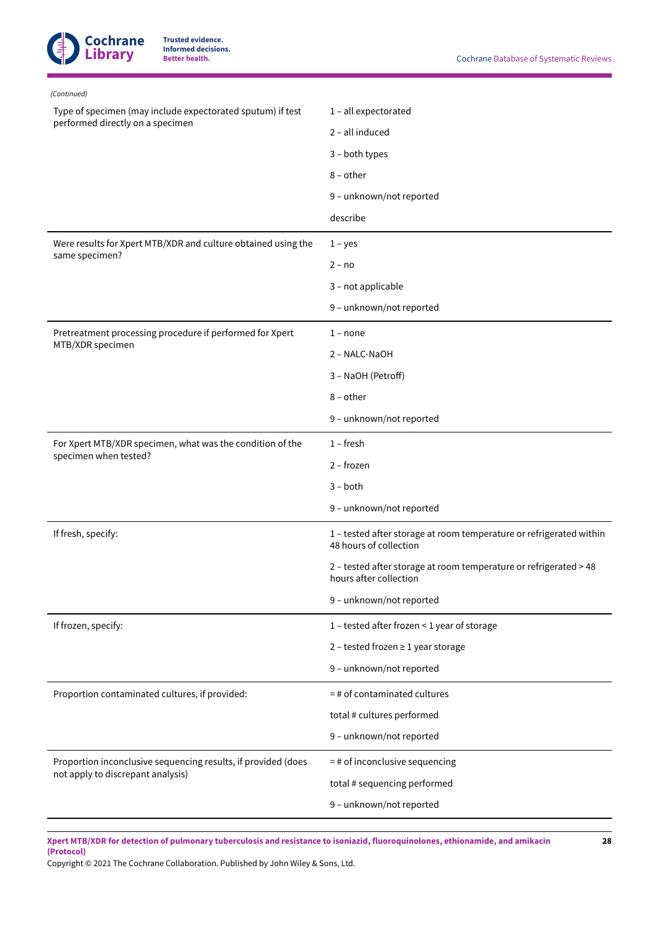

| (Continued)                                                   |                                                                                               |  |  |
|---------------------------------------------------------------|-----------------------------------------------------------------------------------------------|--|--|
| Type of specimen (may include expectorated sputum) if test    | 1 - all expectorated                                                                          |  |  |
| performed directly on a specimen                              | 2 - all induced                                                                               |  |  |
|                                                               | 3 - both types                                                                                |  |  |
|                                                               | $8$ – other                                                                                   |  |  |
|                                                               | 9 - unknown/not reported                                                                      |  |  |
|                                                               | describe                                                                                      |  |  |
| Were results for Xpert MTB/XDR and culture obtained using the | $1 - yes$                                                                                     |  |  |
| same specimen?                                                | $2 - no$                                                                                      |  |  |
|                                                               | 3 - not applicable                                                                            |  |  |
|                                                               | 9 - unknown/not reported                                                                      |  |  |
| Pretreatment processing procedure if performed for Xpert      | $1 - none$                                                                                    |  |  |
| MTB/XDR specimen                                              | 2 - NALC-NaOH                                                                                 |  |  |
|                                                               | 3 - NaOH (Petroff)                                                                            |  |  |
|                                                               | $8$ – other                                                                                   |  |  |
|                                                               | 9 - unknown/not reported                                                                      |  |  |
| For Xpert MTB/XDR specimen, what was the condition of the     | $1$ – fresh                                                                                   |  |  |
| specimen when tested?                                         | 2 - frozen                                                                                    |  |  |
|                                                               | $3 - both$                                                                                    |  |  |
|                                                               | 9 - unknown/not reported                                                                      |  |  |
| If fresh, specify:                                            | 1 - tested after storage at room temperature or refrigerated within<br>48 hours of collection |  |  |
|                                                               | 2 - tested after storage at room temperature or refrigerated > 48<br>hours after collection   |  |  |
|                                                               | 9 - unknown/not reported                                                                      |  |  |
| If frozen, specify:                                           | 1 - tested after frozen < 1 year of storage                                                   |  |  |
|                                                               | $2$ - tested frozen $\geq 1$ year storage                                                     |  |  |
|                                                               | 9 - unknown/not reported                                                                      |  |  |
| Proportion contaminated cultures, if provided:                | $=$ # of contaminated cultures                                                                |  |  |
|                                                               | total # cultures performed                                                                    |  |  |
|                                                               | 9 - unknown/not reported                                                                      |  |  |
| Proportion inconclusive sequencing results, if provided (does | $=$ # of inconclusive sequencing                                                              |  |  |
| not apply to discrepant analysis)                             | total # sequencing performed                                                                  |  |  |
|                                                               | 9 - unknown/not reported                                                                      |  |  |

Xpert MTB/XDR for detection of pulmonary tuberculosis and resistance to isoniazid, fluoroquinolones, ethionamide, and amikacin **(Protocol)**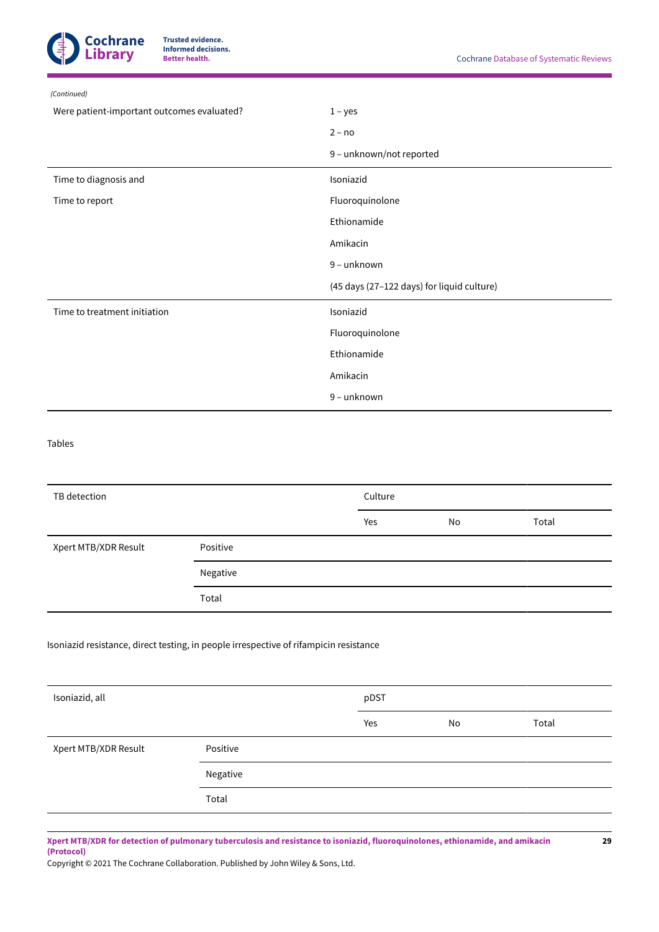

| (Continued)                                |                                            |  |
|--------------------------------------------|--------------------------------------------|--|
| Were patient-important outcomes evaluated? | $1 - yes$                                  |  |
|                                            | $2 - no$                                   |  |
|                                            | 9 - unknown/not reported                   |  |
| Time to diagnosis and                      | Isoniazid                                  |  |
| Time to report                             | Fluoroquinolone                            |  |
|                                            | Ethionamide                                |  |
|                                            | Amikacin                                   |  |
|                                            | 9 - unknown                                |  |
|                                            | (45 days (27-122 days) for liquid culture) |  |
| Time to treatment initiation               | Isoniazid                                  |  |
|                                            | Fluoroquinolone                            |  |
|                                            | Ethionamide                                |  |
|                                            | Amikacin                                   |  |
|                                            | 9 - unknown                                |  |

Tables

| TB detection         |          | Culture |    |       |
|----------------------|----------|---------|----|-------|
|                      |          | Yes     | No | Total |
| Xpert MTB/XDR Result | Positive |         |    |       |
|                      | Negative |         |    |       |
|                      | Total    |         |    |       |

### Isoniazid resistance, direct testing, in people irrespective of rifampicin resistance

| Isoniazid, all       |          | pDST |    |       |
|----------------------|----------|------|----|-------|
|                      |          | Yes  | No | Total |
| Xpert MTB/XDR Result | Positive |      |    |       |
|                      | Negative |      |    |       |
|                      | Total    |      |    |       |

Xpert MTB/XDR for detection of pulmonary tuberculosis and resistance to isoniazid, fluoroquinolones, ethionamide, and amikacin **(Protocol)**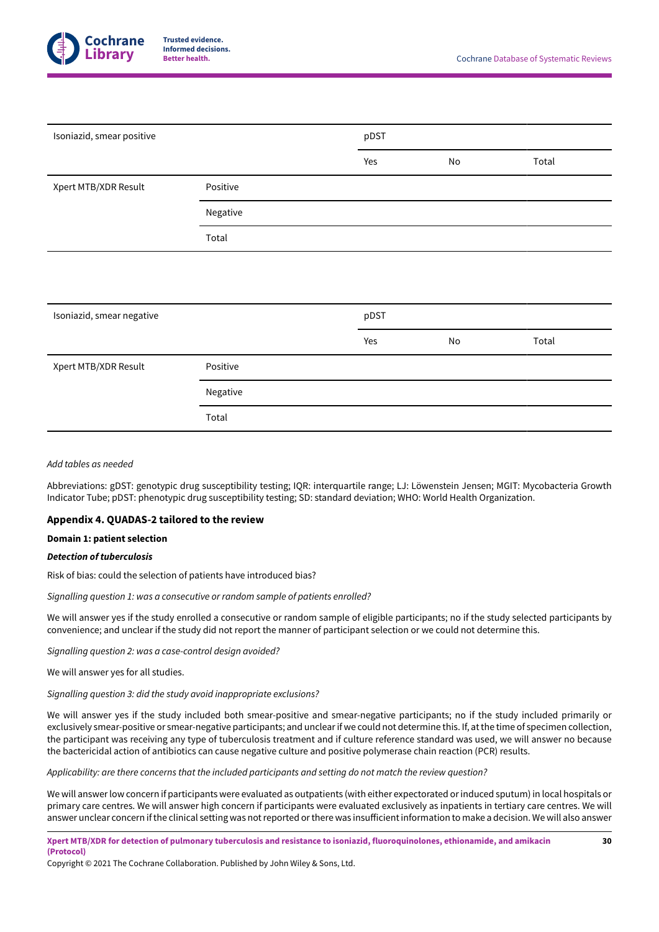

| Isoniazid, smear positive |          | pDST |    |       |  |
|---------------------------|----------|------|----|-------|--|
|                           |          | Yes  | No | Total |  |
| Xpert MTB/XDR Result      | Positive |      |    |       |  |
|                           | Negative |      |    |       |  |
|                           | Total    |      |    |       |  |
|                           |          |      |    |       |  |
|                           |          |      |    |       |  |
| Isoniazid, smear negative |          | pDST |    |       |  |
|                           |          | Yes  | No | Total |  |
| Xpert MTB/XDR Result      | Positive |      |    |       |  |
|                           | Negative |      |    |       |  |
|                           | Total    |      |    |       |  |

### *Add tables as needed*

Abbreviations: gDST: genotypic drug susceptibility testing; IQR: interquartile range; LJ: Löwenstein Jensen; MGIT: Mycobacteria Growth Indicator Tube; pDST: phenotypic drug susceptibility testing; SD: standard deviation; WHO: World Health Organization.

### <span id="page-31-0"></span>**Appendix 4. QUADAS-2 tailored to the review**

### **Domain 1: patient selection**

### *Detection of tuberculosis*

Risk of bias: could the selection of patients have introduced bias?

*Signalling question 1: was a consecutive or random sample of patients enrolled?*

We will answer yes if the study enrolled a consecutive or random sample of eligible participants; no if the study selected participants by convenience; and unclear if the study did not report the manner of participant selection or we could not determine this.

*Signalling question 2: was a case-control design avoided?*

We will answer yes for all studies.

*Signalling question 3: did the study avoid inappropriate exclusions?*

We will answer yes if the study included both smear-positive and smear-negative participants; no if the study included primarily or exclusively smear-positive or smear-negative participants; and unclearif we could not determine this. If, atthe time of specimen collection, the participant was receiving any type of tuberculosis treatment and if culture reference standard was used, we will answer no because the bactericidal action of antibiotics can cause negative culture and positive polymerase chain reaction (PCR) results.

*Applicability: are there concerns that the included participants and setting do not match the review question?*

We will answerlow concern if participants were evaluated as outpatients (with either expectorated orinduced sputum) in local hospitals or primary care centres. We will answer high concern if participants were evaluated exclusively as inpatients in tertiary care centres. We will answer unclear concern if the clinical setting was not reported or there was insufficient information to make a decision. We will also answer

Xpert MTB/XDR for detection of pulmonary tuberculosis and resistance to isoniazid, fluoroquinolones, ethionamide, and amikacin **(Protocol)**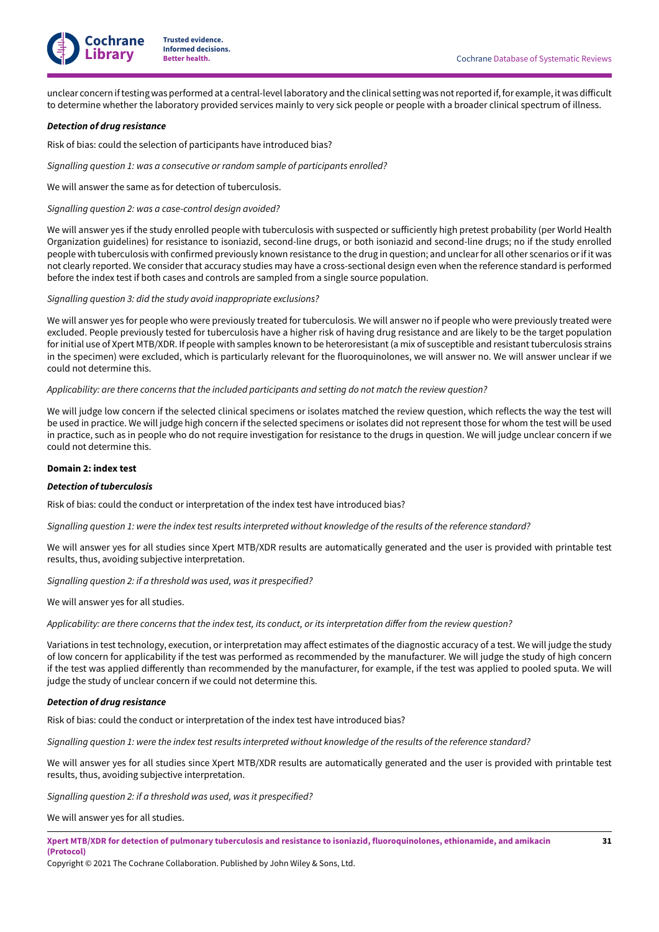

unclear concern if testing was performed at a central-level laboratory and the clinical setting was not reported if, for example, it was difficult to determine whether the laboratory provided services mainly to very sick people or people with a broader clinical spectrum of illness.

#### *Detection of drug resistance*

Risk of bias: could the selection of participants have introduced bias?

*Signalling question 1: was a consecutive or random sample of participants enrolled?*

We will answer the same as for detection of tuberculosis.

*Signalling question 2: was a case-control design avoided?*

We will answer yes if the study enrolled people with tuberculosis with suspected or sufficiently high pretest probability (per World Health Organization guidelines) for resistance to isoniazid, second-line drugs, or both isoniazid and second-line drugs; no if the study enrolled people with tuberculosis with confirmed previously known resistance to the drug in question; and unclear for all other scenarios or if it was not clearly reported. We consider that accuracy studies may have a cross-sectional design even when the reference standard is performed before the index test if both cases and controls are sampled from a single source population.

*Signalling question 3: did the study avoid inappropriate exclusions?*

We will answer yes for people who were previously treated for tuberculosis. We will answer no if people who were previously treated were excluded. People previously tested for tuberculosis have a higher risk of having drug resistance and are likely to be the target population for initial use of Xpert MTB/XDR. If people with samples known to be heteroresistant (a mix of susceptible and resistant tuberculosis strains in the specimen) were excluded, which is particularly relevant for the fluoroquinolones, we will answer no. We will answer unclear if we could not determine this.

*Applicability: are there concerns that the included participants and setting do not match the review question?*

We will judge low concern if the selected clinical specimens or isolates matched the review question, which reflects the way the test will be used in practice. We will judge high concern if the selected specimens or isolates did not represent those for whom the test will be used in practice, such as in people who do not require investigation for resistance to the drugs in question. We will judge unclear concern if we could not determine this.

#### **Domain 2: index test**

#### *Detection of tuberculosis*

Risk of bias: could the conduct or interpretation of the index test have introduced bias?

Signalling question 1: were the index test results interpreted without knowledge of the results of the reference standard?

We will answer yes for all studies since Xpert MTB/XDR results are automatically generated and the user is provided with printable test results, thus, avoiding subjective interpretation.

*Signalling question 2: if a threshold was used, was it prespecified?*

We will answer yes for all studies.

Applicability: are there concerns that the index test, its conduct, or its interpretation differ from the review question?

Variations in test technology, execution, or interpretation may affect estimates of the diagnostic accuracy of a test. We will judge the study of low concern for applicability if the test was performed as recommended by the manufacturer. We will judge the study of high concern if the test was applied differently than recommended by the manufacturer, for example, if the test was applied to pooled sputa. We will judge the study of unclear concern if we could not determine this.

#### *Detection of drug resistance*

Risk of bias: could the conduct or interpretation of the index test have introduced bias?

Signalling question 1: were the index test results interpreted without knowledge of the results of the reference standard?

We will answer yes for all studies since Xpert MTB/XDR results are automatically generated and the user is provided with printable test results, thus, avoiding subjective interpretation.

*Signalling question 2: if a threshold was used, was it prespecified?*

We will answer yes for all studies.

Xpert MTB/XDR for detection of pulmonary tuberculosis and resistance to isoniazid, fluoroquinolones, ethionamide, and amikacin **(Protocol)**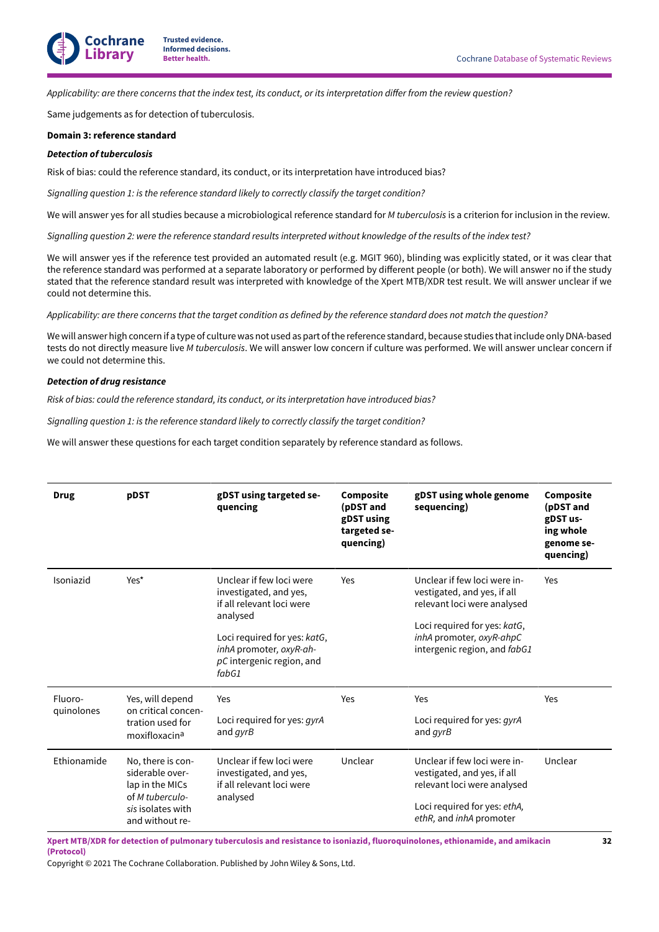Applicability: are there concerns that the index test, its conduct, or its interpretation differ from the review question?

Same judgements as for detection of tuberculosis.

### **Domain 3: reference standard**

### *Detection of tuberculosis*

Risk of bias: could the reference standard, its conduct, or its interpretation have introduced bias?

*Signalling question 1: is the reference standard likely to correctly classify the target condition?*

We will answer yes for all studies because a microbiological reference standard for *M tuberculosis* is a criterion for inclusion in the review.

Signalling question 2: were the reference standard results interpreted without knowledge of the results of the index test?

We will answer yes if the reference test provided an automated result (e.g. MGIT 960), blinding was explicitly stated, or it was clear that the reference standard was performed at a separate laboratory or performed by different people (or both). We will answer no if the study stated that the reference standard result was interpreted with knowledge of the Xpert MTB/XDR test result. We will answer unclear if we could not determine this.

Applicability: are there concerns that the target condition as defined by the reference standard does not match the question?

We will answer high concern if a type of culture was not used as part of the reference standard, because studies that include only DNA-based tests do not directly measure live *M tuberculosis*. We will answer low concern if culture was performed. We will answer unclear concern if we could not determine this.

### *Detection of drug resistance*

*Risk of bias: could the reference standard, its conduct, or its interpretation have introduced bias?*

*Signalling question 1: is the reference standard likely to correctly classify the target condition?*

We will answer these questions for each target condition separately by reference standard as follows.

| <b>Drug</b>           | pDST                                                                                                               | gDST using targeted se-<br>quencing                                                                                                                                                            | Composite<br>(pDST and<br>gDST using<br>targeted se-<br>quencing) | gDST using whole genome<br>sequencing)                                                                                                                                                 | Composite<br>(pDST and<br>gDST us-<br>ing whole<br>genome se-<br>quencing) |
|-----------------------|--------------------------------------------------------------------------------------------------------------------|------------------------------------------------------------------------------------------------------------------------------------------------------------------------------------------------|-------------------------------------------------------------------|----------------------------------------------------------------------------------------------------------------------------------------------------------------------------------------|----------------------------------------------------------------------------|
| Isoniazid             | Yes*                                                                                                               | Unclear if few loci were<br>investigated, and yes,<br>if all relevant loci were<br>analysed<br>Loci required for yes: katG,<br>inhA promoter, oxyR-ah-<br>$pC$ intergenic region, and<br>fabG1 | Yes                                                               | Unclear if few loci were in-<br>vestigated, and yes, if all<br>relevant loci were analysed<br>Loci required for yes: katG,<br>inhA promoter, oxyR-ahpC<br>intergenic region, and fabG1 | Yes                                                                        |
| Fluoro-<br>quinolones | Yes, will depend<br>on critical concen-<br>tration used for<br>moxifloxacina                                       | Yes<br>Loci required for yes: <i>qyrA</i><br>and <i>qyrB</i>                                                                                                                                   | Yes                                                               | Yes<br>Loci required for yes: <i>qyrA</i><br>and <i>gyrB</i>                                                                                                                           | Yes                                                                        |
| Ethionamide           | No, there is con-<br>siderable over-<br>lap in the MICs<br>of M tuberculo-<br>sis isolates with<br>and without re- | Unclear if few loci were<br>investigated, and yes,<br>if all relevant loci were<br>analysed                                                                                                    | Unclear                                                           | Unclear if few loci were in-<br>vestigated, and yes, if all<br>relevant loci were analysed<br>Loci required for yes: ethA,<br>ethR, and inhA promoter                                  | Unclear                                                                    |

Xpert MTB/XDR for detection of pulmonary tuberculosis and resistance to isoniazid, fluoroquinolones, ethionamide, and amikacin **(Protocol)**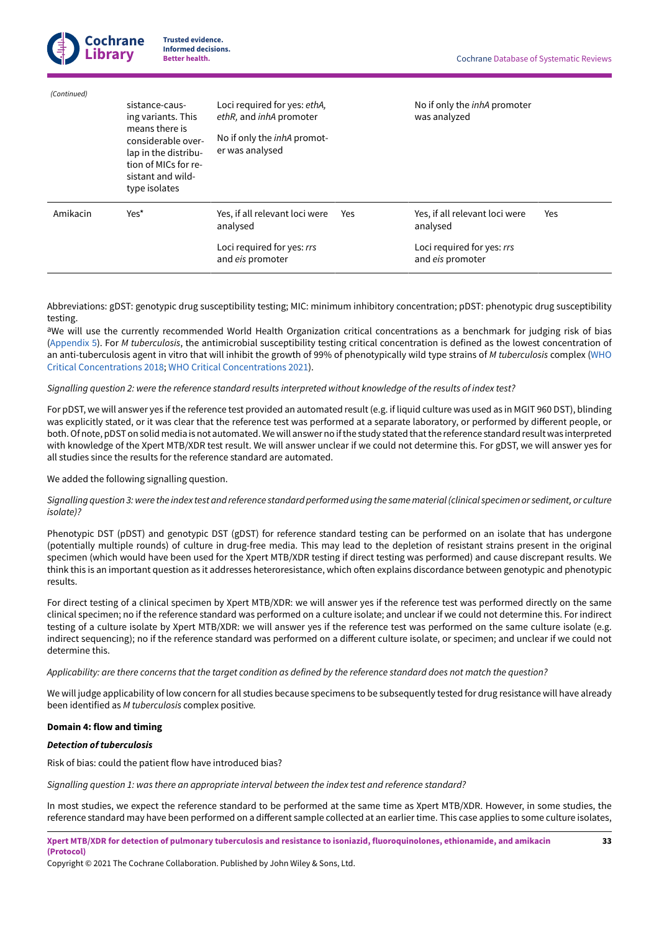|             | <b>Cochrane</b><br><b>Trusted evidence.</b><br><b>Informed decisions.</b><br><b>Library</b><br><b>Better health.</b>                                               |                                                                                                                  |     | <b>Cochrane Database of Systematic Reviews</b>      |     |
|-------------|--------------------------------------------------------------------------------------------------------------------------------------------------------------------|------------------------------------------------------------------------------------------------------------------|-----|-----------------------------------------------------|-----|
| (Continued) | sistance-caus-<br>ing variants. This<br>means there is<br>considerable over-<br>lap in the distribu-<br>tion of MICs for re-<br>sistant and wild-<br>type isolates | Loci required for yes: ethA,<br>ethR, and inhA promoter<br>No if only the <i>inhA</i> promot-<br>er was analysed |     | No if only the <i>inhA</i> promoter<br>was analyzed |     |
| Amikacin    | Yes*                                                                                                                                                               | Yes, if all relevant loci were<br>analysed                                                                       | Yes | Yes, if all relevant loci were<br>analysed          | Yes |
|             |                                                                                                                                                                    | Loci required for yes: rrs<br>and eis promoter                                                                   |     | Loci required for yes: rrs<br>and eis promoter      |     |

Abbreviations: gDST: genotypic drug susceptibility testing; MIC: minimum inhibitory concentration; pDST: phenotypic drug susceptibility testing.

aWe will use the currently recommended World Health Organization critical concentrations as a benchmark for judging risk of bias [\(Appendix 5\)](#page-35-0). For *M tuberculosis*, the antimicrobial susceptibility testing critical concentration is defined as the lowest concentration of an anti-tuberculosis agent in vitro that will inhibit the growth of 99% of phenotypically wild type strains of *M tuberculosis* complex ([WHO](#page-20-0) Critical [Concentrations](#page-20-0) 2018; WHO Critical [Concentrations](#page-20-1) 2021).

### Signalling question 2: were the reference standard results interpreted without knowledge of the results of index test?

For pDST, we will answer yes if the reference test provided an automated result (e.g. if liquid culture was used as in MGIT 960 DST), blinding was explicitly stated, or it was clear that the reference test was performed at a separate laboratory, or performed by different people, or both. Of note, pDST on solid media is not automated. We will answer no if the study stated that the reference standard result was interpreted with knowledge of the Xpert MTB/XDR test result. We will answer unclear if we could not determine this. For gDST, we will answer yes for all studies since the results for the reference standard are automated.

We added the following signalling question.

### Signalling question 3: were the index test and reference standard performed using the same material (clinical specimen or sediment, or culture *isolate)?*

Phenotypic DST (pDST) and genotypic DST (gDST) for reference standard testing can be performed on an isolate that has undergone (potentially multiple rounds) of culture in drug-free media. This may lead to the depletion of resistant strains present in the original specimen (which would have been used for the Xpert MTB/XDR testing if direct testing was performed) and cause discrepant results. We think this is an important question as it addresses heteroresistance, which often explains discordance between genotypic and phenotypic results.

For direct testing of a clinical specimen by Xpert MTB/XDR: we will answer yes if the reference test was performed directly on the same clinical specimen; no if the reference standard was performed on a culture isolate; and unclear if we could not determine this. For indirect testing of a culture isolate by Xpert MTB/XDR: we will answer yes if the reference test was performed on the same culture isolate (e.g. indirect sequencing); no if the reference standard was performed on a different culture isolate, or specimen; and unclear if we could not determine this.

### Applicability: are there concerns that the target condition as defined by the reference standard does not match the question?

We will judge applicability of low concern for all studies because specimens to be subsequently tested for drug resistance will have already been identified as *M tuberculosis* complex positive*.*

### **Domain 4: flow and timing**

### *Detection of tuberculosis*

Risk of bias: could the patient flow have introduced bias?

*Signalling question 1: was there an appropriate interval between the index test and reference standard?*

In most studies, we expect the reference standard to be performed at the same time as Xpert MTB/XDR. However, in some studies, the reference standard may have been performed on a different sample collected at an earlier time. This case applies to some culture isolates,

Xpert MTB/XDR for detection of pulmonary tuberculosis and resistance to isoniazid, fluoroquinolones, ethionamide, and amikacin **(Protocol)**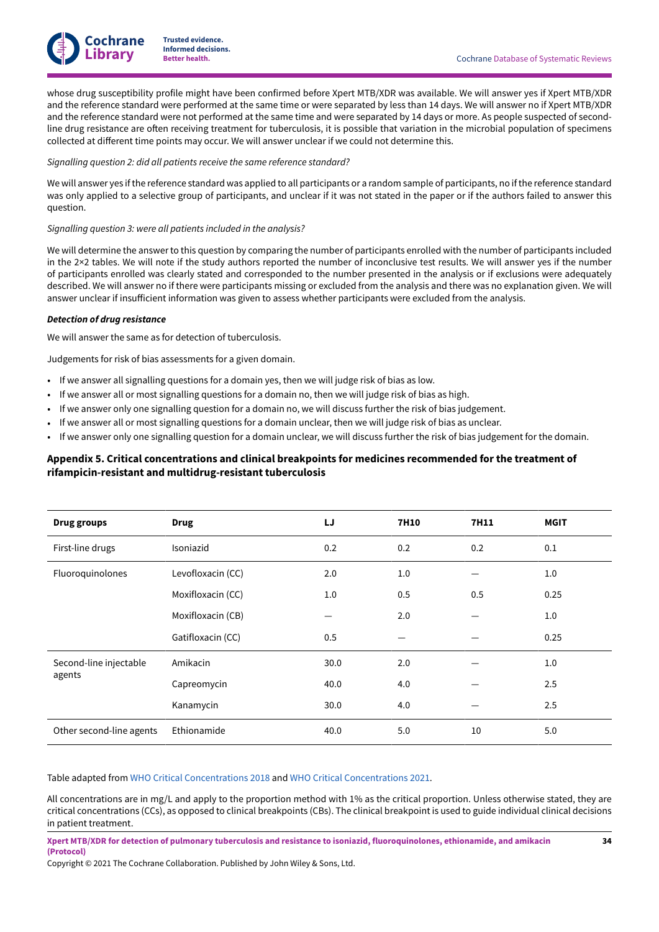

whose drug susceptibility profile might have been confirmed before Xpert MTB/XDR was available. We will answer yes if Xpert MTB/XDR and the reference standard were performed at the same time or were separated by less than 14 days. We will answer no if Xpert MTB/XDR and the reference standard were not performed at the same time and were separated by 14 days or more. As people suspected of secondline drug resistance are often receiving treatment for tuberculosis, it is possible that variation in the microbial population of specimens collected at different time points may occur. We will answer unclear if we could not determine this.

#### *Signalling question 2: did all patients receive the same reference standard?*

We will answer yes ifthe reference standard was applied to all participants or a random sample of participants, no ifthe reference standard was only applied to a selective group of participants, and unclear if it was not stated in the paper or if the authors failed to answer this question.

### *Signalling question 3: were all patients included in the analysis?*

We will determine the answer to this question by comparing the number of participants enrolled with the number of participants included in the 2×2 tables. We will note if the study authors reported the number of inconclusive test results. We will answer yes if the number of participants enrolled was clearly stated and corresponded to the number presented in the analysis or if exclusions were adequately described. We will answer no if there were participants missing or excluded from the analysis and there was no explanation given. We will answer unclear if insufficient information was given to assess whether participants were excluded from the analysis.

### *Detection of drug resistance*

We will answer the same as for detection of tuberculosis.

Judgements for risk of bias assessments for a given domain.

- If we answer all signalling questions for a domain yes, then we will judge risk of bias as low.
- If we answer all or most signalling questions for a domain no, then we will judge risk of bias as high.
- If we answer only one signalling question for a domain no, we will discuss further the risk of bias judgement.
- If we answer all or most signalling questions for a domain unclear, then we will judge risk of bias as unclear.
- If we answer only one signalling question for a domain unclear, we will discuss further the risk of bias judgement for the domain.

# <span id="page-35-0"></span>**Appendix 5. Critical concentrations and clinical breakpoints for medicines recommended for the treatment of rifampicin-resistant and multidrug-resistant tuberculosis**

| <b>Drug groups</b>       | <b>Drug</b>       | IJ   | <b>7H10</b> | 7H11 | <b>MGIT</b> |
|--------------------------|-------------------|------|-------------|------|-------------|
| First-line drugs         | Isoniazid         | 0.2  | 0.2         | 0.2  | 0.1         |
| Fluoroquinolones         | Levofloxacin (CC) | 2.0  | 1.0         |      | 1.0         |
|                          | Moxifloxacin (CC) | 1.0  | 0.5         | 0.5  | 0.25        |
|                          | Moxifloxacin (CB) |      | 2.0         |      | 1.0         |
|                          | Gatifloxacin (CC) | 0.5  |             |      | 0.25        |
| Second-line injectable   | Amikacin          | 30.0 | 2.0         |      | 1.0         |
| agents                   | Capreomycin       | 40.0 | 4.0         |      | 2.5         |
|                          | Kanamycin         | 30.0 | 4.0         |      | 2.5         |
| Other second-line agents | Ethionamide       | 40.0 | 5.0         | 10   | 5.0         |

Table adapted from WHO Critical [Concentrations](#page-20-0) 2018 and WHO Critical [Concentrations](#page-20-1) 2021.

All concentrations are in mg/L and apply to the proportion method with 1% as the critical proportion. Unless otherwise stated, they are critical concentrations (CCs), as opposed to clinical breakpoints (CBs). The clinical breakpoint is used to guide individual clinical decisions in patient treatment.

Xpert MTB/XDR for detection of pulmonary tuberculosis and resistance to isoniazid, fluoroquinolones, ethionamide, and amikacin **(Protocol)**